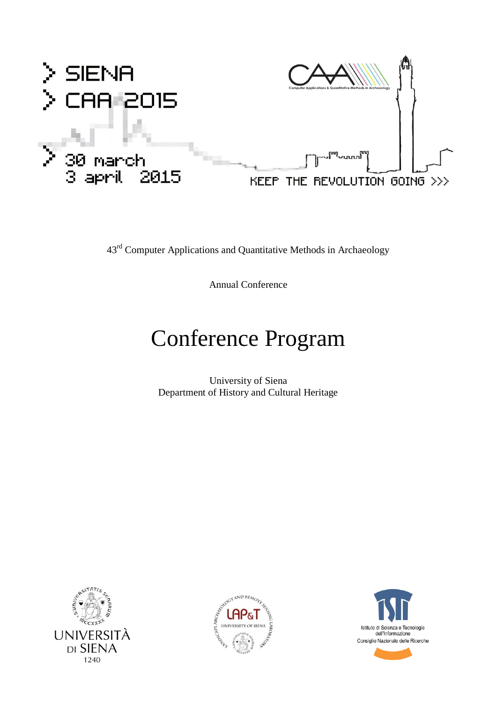

43rd Computer Applications and Quantitative Methods in Archaeology

Annual Conference

# Conference Program

University of Siena Department of History and Cultural Heritage







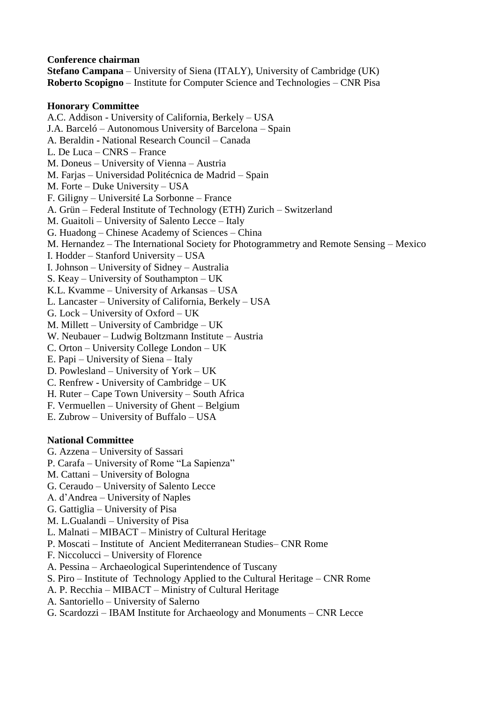**Conference chairman Stefano Campana** – University of Siena (ITALY), University of Cambridge (UK) **Roberto Scopigno** – Institute for Computer Science and Technologies – CNR Pisa

#### **Honorary Committee**

A.C. Addison - University of California, Berkely – USA J.A. Barceló – Autonomous University of Barcelona – Spain A. Beraldin - National Research Council – Canada L. De Luca – CNRS – France M. Doneus – University of Vienna – Austria M. Farjas – Universidad Politécnica de Madrid – Spain M. Forte – Duke University – USA F. Giligny – Université La Sorbonne – France A. Grün – Federal Institute of Technology (ETH) Zurich – Switzerland M. Guaitoli – University of Salento Lecce – Italy G. Huadong – Chinese Academy of Sciences – China M. Hernandez – The International Society for Photogrammetry and Remote Sensing – Mexico I. Hodder – Stanford University – USA I. Johnson – University of Sidney – Australia S. Keay – University of Southampton – UK K.L. Kvamme – University of Arkansas – USA L. Lancaster – University of California, Berkely – USA G. Lock – University of Oxford – UK M. Millett – University of Cambridge – UK W. Neubauer – Ludwig Boltzmann Institute – Austria C. Orton – University College London – UK E. Papi – University of Siena – Italy D. Powlesland – University of York – UK C. Renfrew - University of Cambridge – UK H. Ruter – Cape Town University – South Africa F. Vermuellen – University of Ghent – Belgium E. Zubrow – University of Buffalo – USA

#### **National Committee**

- G. Azzena University of Sassari
- P. Carafa University of Rome "La Sapienza"
- M. Cattani University of Bologna
- G. Ceraudo University of Salento Lecce
- A. d'Andrea University of Naples
- G. Gattiglia University of Pisa
- M. L.Gualandi University of Pisa
- L. Malnati MIBACT Ministry of Cultural Heritage
- P. Moscati Institute of Ancient Mediterranean Studies– CNR Rome
- F. Niccolucci University of Florence
- A. Pessina Archaeological Superintendence of Tuscany
- S. Piro Institute of Technology Applied to the Cultural Heritage CNR Rome
- A. P. Recchia MIBACT Ministry of Cultural Heritage
- A. Santoriello University of Salerno
- G. Scardozzi IBAM Institute for Archaeology and Monuments CNR Lecce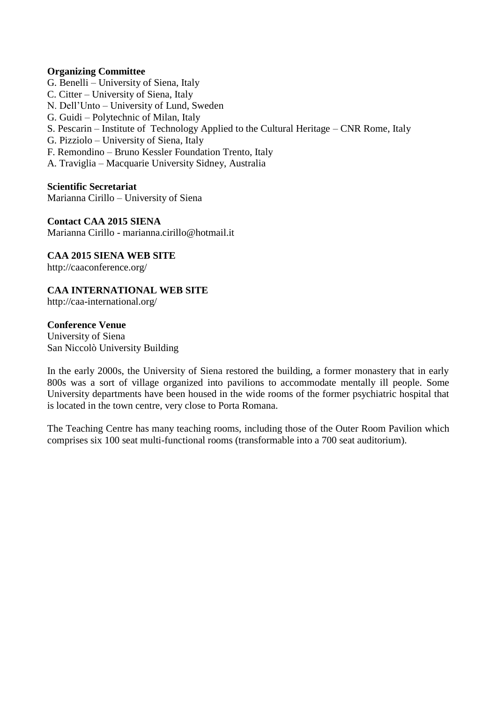#### **Organizing Committee**

- G. Benelli University of Siena, Italy
- C. Citter University of Siena, Italy
- N. Dell'Unto University of Lund, Sweden
- G. Guidi Polytechnic of Milan, Italy
- S. Pescarin Institute of Technology Applied to the Cultural Heritage CNR Rome, Italy
- G. Pizziolo University of Siena, Italy
- F. Remondino Bruno Kessler Foundation Trento, Italy
- A. Traviglia Macquarie University Sidney, Australia

**Scientific Secretariat** Marianna Cirillo – University of Siena

**Contact CAA 2015 SIENA**  Marianna Cirillo - marianna.cirillo@hotmail.it

**CAA 2015 SIENA WEB SITE** http://caaconference.org/

**CAA INTERNATIONAL WEB SITE**

http://caa-international.org/

#### **Conference Venue**

University of Siena San Niccolò University Building

In the early 2000s, the University of Siena restored the building, a former monastery that in early 800s was a sort of village organized into pavilions to accommodate mentally ill people. Some University departments have been housed in the wide rooms of the former psychiatric hospital that is located in the town centre, very close to Porta Romana.

The Teaching Centre has many teaching rooms, including those of the Outer Room Pavilion which comprises six 100 seat multi-functional rooms (transformable into a 700 seat auditorium).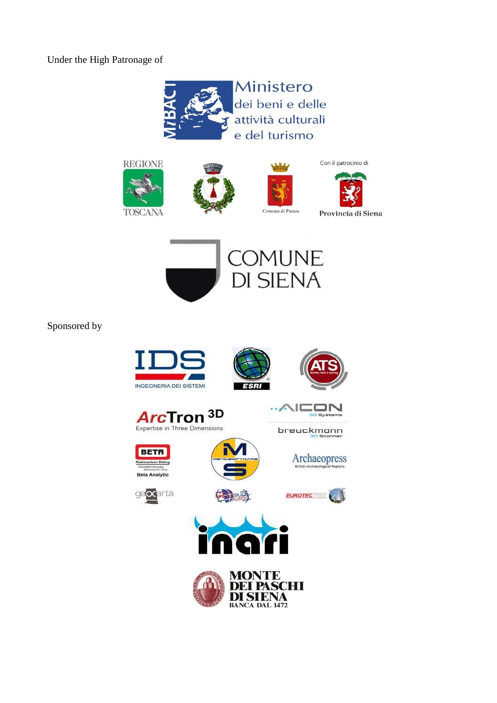Under the High Patronage of











Con il patrocinio di

Provincia di Siena



Sponsored by

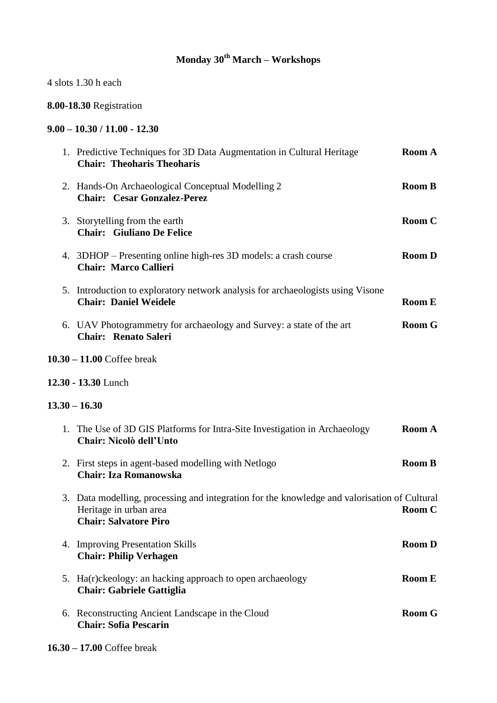# **Monday 30th March – Workshops**

4 slots 1.30 h each

# **8.00-18.30** Registration

# **9.00 – 10.30 / 11.00 - 12.30**

|    | 1. Predictive Techniques for 3D Data Augmentation in Cultural Heritage<br><b>Chair: Theoharis Theoharis</b>                                            | <b>Room A</b> |
|----|--------------------------------------------------------------------------------------------------------------------------------------------------------|---------------|
|    | 2. Hands-On Archaeological Conceptual Modelling 2<br><b>Chair: Cesar Gonzalez-Perez</b>                                                                | <b>Room B</b> |
|    | 3. Storytelling from the earth<br><b>Chair: Giuliano De Felice</b>                                                                                     | Room C        |
|    | 4. 3DHOP – Presenting online high-res 3D models: a crash course<br><b>Chair: Marco Callieri</b>                                                        | <b>Room D</b> |
|    | 5. Introduction to exploratory network analysis for archaeologists using Visone<br><b>Chair: Daniel Weidele</b>                                        | <b>Room E</b> |
|    | 6. UAV Photogrammetry for archaeology and Survey: a state of the art<br><b>Chair: Renato Saleri</b>                                                    | <b>Room G</b> |
|    | $10.30 - 11.00$ Coffee break                                                                                                                           |               |
|    | 12.30 - 13.30 Lunch                                                                                                                                    |               |
|    | $13.30 - 16.30$                                                                                                                                        |               |
|    | 1. The Use of 3D GIS Platforms for Intra-Site Investigation in Archaeology<br>Chair: Nicolò dell'Unto                                                  | <b>Room A</b> |
|    | 2. First steps in agent-based modelling with Netlogo                                                                                                   |               |
|    | <b>Chair: Iza Romanowska</b>                                                                                                                           | <b>Room B</b> |
|    | 3. Data modelling, processing and integration for the knowledge and valorisation of Cultural<br>Heritage in urban area<br><b>Chair: Salvatore Piro</b> | Room C        |
|    | 4. Improving Presentation Skills<br><b>Chair: Philip Verhagen</b>                                                                                      | <b>Room D</b> |
| 5. | Ha(r)ckeology: an hacking approach to open archaeology<br><b>Chair: Gabriele Gattiglia</b>                                                             | <b>Room E</b> |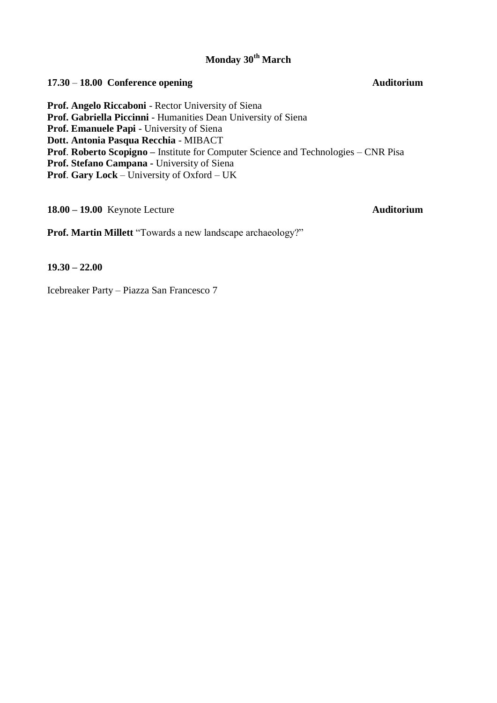# **Monday 30th March**

# **17.30** – **18.00 Conference opening Auditorium Prof. Angelo Riccaboni** - Rector University of Siena **Prof. Gabriella Piccinni** - Humanities Dean University of Siena **Prof. Emanuele Papi** - University of Siena **Dott. Antonia Pasqua Recchia** - MIBACT **Prof**. **Roberto Scopigno –** Institute for Computer Science and Technologies – CNR Pisa **Prof. Stefano Campana -** University of Siena **Prof**. **Gary Lock** – University of Oxford – UK

**18.00 – 19.00** Keynote Lecture **Auditorium**

**Prof. Martin Millett** "Towards a new landscape archaeology?"

**19.30 – 22.00**

Icebreaker Party – Piazza San Francesco 7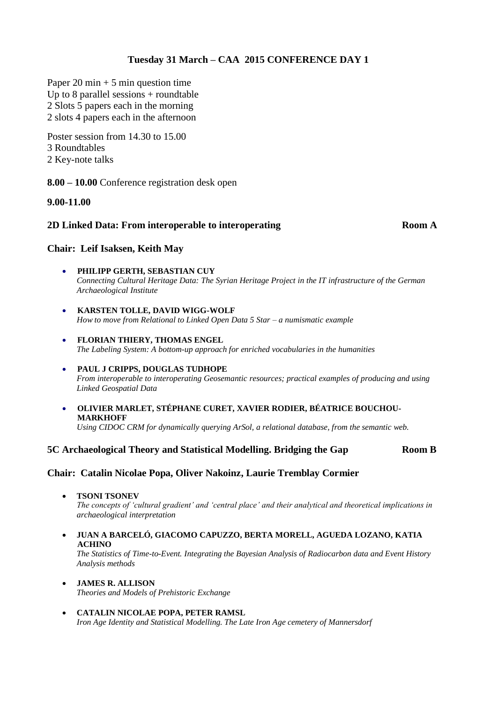### **Tuesday 31 March – CAA 2015 CONFERENCE DAY 1**

Paper 20 min  $+ 5$  min question time Up to 8 parallel sessions  $+$  roundtable 2 Slots 5 papers each in the morning 2 slots 4 papers each in the afternoon

Poster session from 14.30 to 15.00 3 Roundtables 2 Key-note talks

**8.00 – 10.00** Conference registration desk open

#### **9.00-11.00**

#### **2D Linked Data: From interoperable to interoperating Room A**

#### **Chair: Leif Isaksen, Keith May**

- **PHILIPP GERTH, SEBASTIAN CUY** *Connecting Cultural Heritage Data: The Syrian Heritage Project in the IT infrastructure of the German Archaeological Institute*
- **KARSTEN TOLLE, DAVID WIGG-WOLF** *How to move from Relational to Linked Open Data 5 Star – a numismatic example*
- **FLORIAN THIERY, THOMAS ENGEL** *The Labeling System: A bottom-up approach for enriched vocabularies in the humanities*
- **PAUL J CRIPPS, DOUGLAS TUDHOPE** *From interoperable to interoperating Geosemantic resources; practical examples of producing and using Linked Geospatial Data*
- **OLIVIER MARLET, STÉPHANE CURET, XAVIER RODIER, BÉATRICE BOUCHOU-MARKHOFF** *Using CIDOC CRM for dynamically querying ArSol, a relational database, from the semantic web.*

#### **5C Archaeological Theory and Statistical Modelling. Bridging the Gap Room B**

#### **Chair: Catalin Nicolae Popa, Oliver Nakoinz, Laurie Tremblay Cormier**

**TSONI TSONEV**

*The concepts of 'cultural gradient' and 'central place' and their analytical and theoretical implications in archaeological interpretation*

 **JUAN A BARCELÓ, GIACOMO CAPUZZO, BERTA MORELL, AGUEDA LOZANO, KATIA ACHINO**

*The Statistics of Time-to-Event. Integrating the Bayesian Analysis of Radiocarbon data and Event History Analysis methods*

- **JAMES R. ALLISON** *Theories and Models of Prehistoric Exchange*
- **CATALIN NICOLAE POPA, PETER RAMSL** *Iron Age Identity and Statistical Modelling. The Late Iron Age cemetery of Mannersdorf*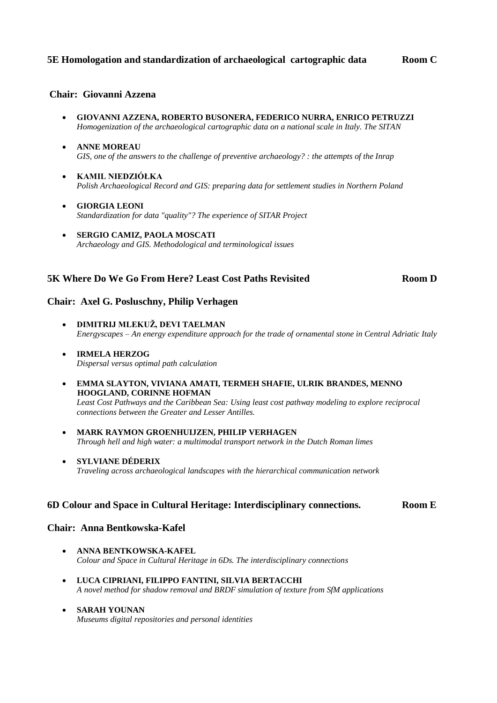#### **5E Homologation and standardization of archaeological cartographic data Room C**

#### **Chair: Giovanni Azzena**

- **GIOVANNI AZZENA, ROBERTO BUSONERA, FEDERICO NURRA, ENRICO PETRUZZI**  *Homogenization of the archaeological cartographic data on a national scale in Italy. The SITAN*
- **ANNE MOREAU** *GIS, one of the answers to the challenge of preventive archaeology? : the attempts of the Inrap*
- **KAMIL NIEDZIÓŁKA** *Polish Archaeological Record and GIS: preparing data for settlement studies in Northern Poland*
- **GIORGIA LEONI** *Standardization for data "quality"? The experience of SITAR Project*
- **SERGIO CAMIZ, PAOLA MOSCATI** *Archaeology and GIS. Methodological and terminological issues*

#### **5K Where Do We Go From Here? Least Cost Paths Revisited Room D**

#### **Chair: Axel G. Posluschny, Philip Verhagen**

- **DIMITRIJ MLEKUŽ, DEVI TAELMAN** *Energyscapes – An energy expenditure approach for the trade of ornamental stone in Central Adriatic Italy*
- **IRMELA HERZOG** *Dispersal versus optimal path calculation*
- **EMMA SLAYTON, VIVIANA AMATI, TERMEH SHAFIE, ULRIK BRANDES, MENNO HOOGLAND, CORINNE HOFMAN** *Least Cost Pathways and the Caribbean Sea: Using least cost pathway modeling to explore reciprocal connections between the Greater and Lesser Antilles.*
- **MARK RAYMON GROENHUIJZEN, PHILIP VERHAGEN** *Through hell and high water: a multimodal transport network in the Dutch Roman limes*
- **SYLVIANE DÉDERIX** *Traveling across archaeological landscapes with the hierarchical communication network*

#### **6D Colour and Space in Cultural Heritage: Interdisciplinary connections. Room E**

#### **Chair: Anna Bentkowska-Kafel**

- **ANNA BENTKOWSKA-KAFEL** *Colour and Space in Cultural Heritage in 6Ds. The interdisciplinary connections*
- **LUCA CIPRIANI, FILIPPO FANTINI, SILVIA BERTACCHI** *A novel method for shadow removal and BRDF simulation of texture from SfM applications*
- **SARAH YOUNAN** *Museums digital repositories and personal identities*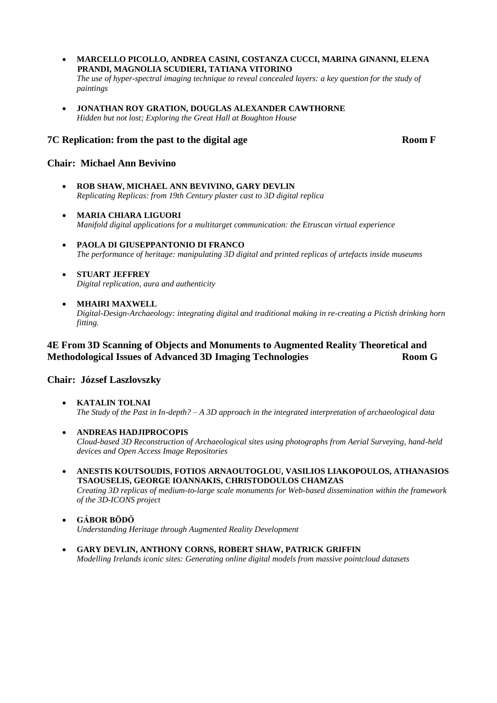- **MARCELLO PICOLLO, ANDREA CASINI, COSTANZA CUCCI, MARINA GINANNI, ELENA PRANDI, MAGNOLIA SCUDIERI, TATIANA VITORINO**  *The use of hyper-spectral imaging technique to reveal concealed layers: a key question for the study of paintings*
- **JONATHAN ROY GRATION, DOUGLAS ALEXANDER CAWTHORNE** *Hidden but not lost; Exploring the Great Hall at Boughton House*

#### **7C Replication: from the past to the digital age <b>Room F**

#### **Chair: Michael Ann Bevivino**

- **ROB SHAW, MICHAEL ANN BEVIVINO, GARY DEVLIN** *Replicating Replicas: from 19th Century plaster cast to 3D digital replica*
- **MARIA CHIARA LIGUORI**  *Manifold digital applications for a multitarget communication: the Etruscan virtual experience*
- **PAOLA DI GIUSEPPANTONIO DI FRANCO**  *The performance of heritage: manipulating 3D digital and printed replicas of artefacts inside museums*
- **STUART JEFFREY**  *Digital replication, aura and authenticity*
- **MHAIRI MAXWELL**

*Digital-Design-Archaeology: integrating digital and traditional making in re-creating a Pictish drinking horn fitting.* 

#### **4E From 3D Scanning of Objects and Monuments to Augmented Reality Theoretical and Methodological Issues of Advanced 3D Imaging Technologies Room G**

#### **Chair: József Laszlovszky**

- **KATALIN TOLNAI** *The Study of the Past in In-depth? – A 3D approach in the integrated interpretation of archaeological data*
- **ANDREAS HADJIPROCOPIS** *Cloud-based 3D Reconstruction of Archaeological sites using photographs from Aerial Surveying, hand-held devices and Open Access Image Repositories*
- **ANESTIS KOUTSOUDIS, FOTIOS ARNAOUTOGLOU, VASILIOS LIAKOPOULOS, ATHANASIOS TSAOUSELIS, GEORGE IOANNAKIS, CHRISTODOULOS CHAMZAS** *Creating 3D replicas of medium-to-large scale monuments for Web-based dissemination within the framework of the 3D-ICONS project*
- **GÁBOR BÖDŐ** *Understanding Heritage through Augmented Reality Development*
- **GARY DEVLIN, ANTHONY CORNS, ROBERT SHAW, PATRICK GRIFFIN** *Modelling Irelands iconic sites: Generating online digital models from massive pointcloud datasets*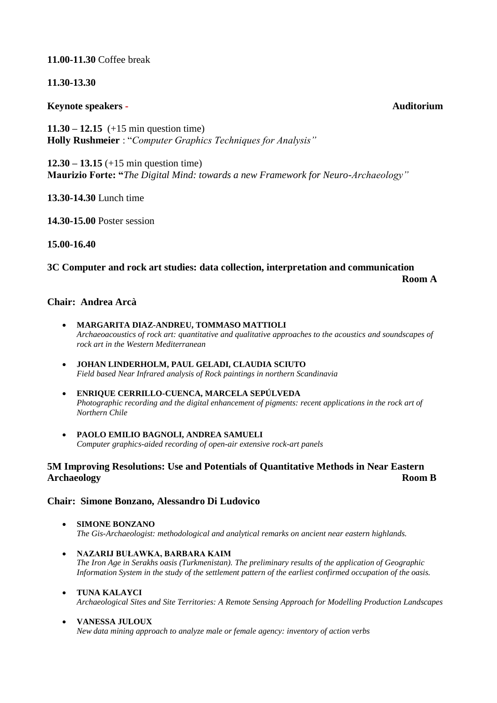#### **11.00-11.30** Coffee break

#### **11.30-13.30**

#### **Keynote speakers - Auditorium**

**11.30 – 12.15** (+15 min question time) **Holly Rushmeier** : "*Computer Graphics Techniques for Analysis"*

**12.30 – 13.15** (+15 min question time) **Maurizio Forte: "***The Digital Mind: towards a new Framework for Neuro-Archaeology"*

**13.30-14.30** Lunch time

**14.30-15.00** Poster session

**15.00-16.40** 

# **3C Computer and rock art studies: data collection, interpretation and communication Room A**

#### **Chair: Andrea Arcà**

- **MARGARITA DIAZ-ANDREU, TOMMASO MATTIOLI** *Archaeoacoustics of rock art: quantitative and qualitative approaches to the acoustics and soundscapes of rock art in the Western Mediterranean*
- **JOHAN LINDERHOLM, PAUL GELADI, CLAUDIA SCIUTO** *Field based Near Infrared analysis of Rock paintings in northern Scandinavia*
- **ENRIQUE CERRILLO-CUENCA, MARCELA SEPÚLVEDA** *Photographic recording and the digital enhancement of pigments: recent applications in the rock art of Northern Chile*
- **PAOLO EMILIO BAGNOLI, ANDREA SAMUELI** *Computer graphics-aided recording of open-air extensive rock-art panels*

### **5M Improving Resolutions: Use and Potentials of Quantitative Methods in Near Eastern Archaeology Room B**

#### **Chair: Simone Bonzano, Alessandro Di Ludovico**

- **SIMONE BONZANO** *The Gis-Archaeologist: methodological and analytical remarks on ancient near eastern highlands.*
- **NAZARIJ BUŁAWKA, BARBARA KAIM** *The Iron Age in Serakhs oasis (Turkmenistan). The preliminary results of the application of Geographic Information System in the study of the settlement pattern of the earliest confirmed occupation of the oasis.*
- **TUNA KALAYCI** *Archaeological Sites and Site Territories: A Remote Sensing Approach for Modelling Production Landscapes*
- **VANESSA JULOUX** *New data mining approach to analyze male or female agency: inventory of action verbs*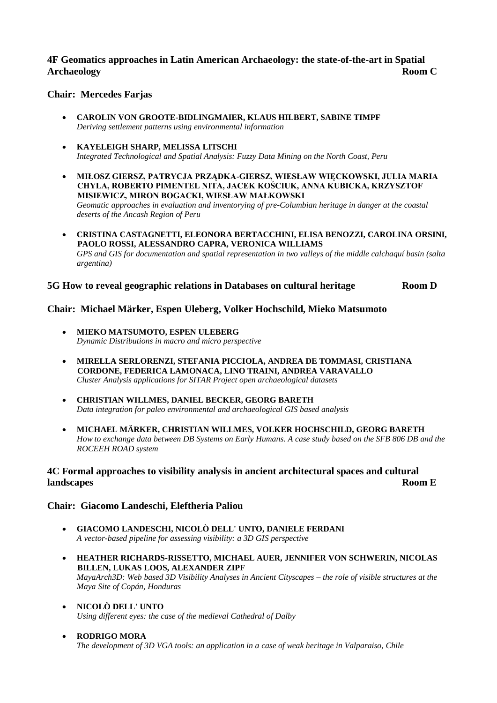#### **4F Geomatics approaches in Latin American Archaeology: the state-of-the-art in Spatial Archaeology Room C**

#### **Chair: Mercedes Farjas**

- **CAROLIN VON GROOTE-BIDLINGMAIER, KLAUS HILBERT, SABINE TIMPF**  *Deriving settlement patterns using environmental information*
- **KAYELEIGH SHARP, MELISSA LITSCHI** *Integrated Technological and Spatial Analysis: Fuzzy Data Mining on the North Coast, Peru*
- **MIŁOSZ GIERSZ, PATRYCJA PRZĄDKA-GIERSZ, WIESŁAW WIĘCKOWSKI, JULIA MARIA CHYLA, ROBERTO PIMENTEL NITA, JACEK KOŚCIUK, ANNA KUBICKA, KRZYSZTOF MISIEWICZ, MIRON BOGACKI, WIESŁAW MAŁKOWSKI** *Geomatic approaches in evaluation and inventorying of pre-Columbian heritage in danger at the coastal deserts of the Ancash Region of Peru*
- **CRISTINA CASTAGNETTI, ELEONORA BERTACCHINI, ELISA BENOZZI, CAROLINA ORSINI, PAOLO ROSSI, ALESSANDRO CAPRA, VERONICA WILLIAMS**  *GPS and GIS for documentation and spatial representation in two valleys of the middle calchaquí basin (salta argentina)*

#### **5G How to reveal geographic relations in Databases on cultural heritage Room D**

#### **Chair: Michael Märker, Espen Uleberg, Volker Hochschild, Mieko Matsumoto**

- **MIEKO MATSUMOTO, ESPEN ULEBERG** *Dynamic Distributions in macro and micro perspective*
- **MIRELLA SERLORENZI, STEFANIA PICCIOLA, ANDREA DE TOMMASI, CRISTIANA CORDONE, FEDERICA LAMONACA, LINO TRAINI, ANDREA VARAVALLO** *Cluster Analysis applications for SITAR Project open archaeological datasets*
- **CHRISTIAN WILLMES, DANIEL BECKER, GEORG BARETH** *Data integration for paleo environmental and archaeological GIS based analysis*
- **MICHAEL MÄRKER, CHRISTIAN WILLMES, VOLKER HOCHSCHILD, GEORG BARETH** *How to exchange data between DB Systems on Early Humans. A case study based on the SFB 806 DB and the ROCEEH ROAD system*

#### **4C Formal approaches to visibility analysis in ancient architectural spaces and cultural landscapes Room E**

#### **Chair: Giacomo Landeschi, Eleftheria Paliou**

- **GIACOMO LANDESCHI, NICOLÒ DELL' UNTO, DANIELE FERDANI** *A vector-based pipeline for assessing visibility: a 3D GIS perspective*
- **HEATHER RICHARDS-RISSETTO, MICHAEL AUER, JENNIFER VON SCHWERIN, NICOLAS BILLEN, LUKAS LOOS, ALEXANDER ZIPF** *MayaArch3D: Web based 3D Visibility Analyses in Ancient Cityscapes – the role of visible structures at the Maya Site of Copán, Honduras*
- **NICOLÒ DELL' UNTO** *Using different eyes: the case of the medieval Cathedral of Dalby*
- **RODRIGO MORA**  *The development of 3D VGA tools: an application in a case of weak heritage in Valparaiso, Chile*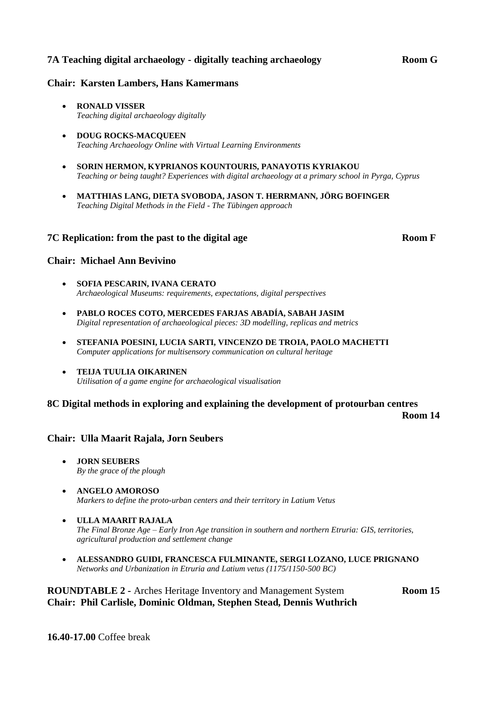#### **7A Teaching digital archaeology - digitally teaching archaeology Room G**

#### **Chair: Karsten Lambers, Hans Kamermans**

- **RONALD VISSER** *Teaching digital archaeology digitally*
- **DOUG ROCKS-MACQUEEN** *Teaching Archaeology Online with Virtual Learning Environments*
- **SORIN HERMON, KYPRIANOS KOUNTOURIS, PANAYOTIS KYRIAKOU** *Teaching or being taught? Experiences with digital archaeology at a primary school in Pyrga, Cyprus*
- **MATTHIAS LANG, DIETA SVOBODA, JASON T. HERRMANN, JÖRG BOFINGER** *Teaching Digital Methods in the Field - The Tübingen approach*

#### **7C Replication: from the past to the digital age <b>Room F**

#### **Chair: Michael Ann Bevivino**

- **SOFIA PESCARIN, IVANA CERATO** *Archaeological Museums: requirements, expectations, digital perspectives*
- **PABLO ROCES COTO, MERCEDES FARJAS ABADÍA, SABAH JASIM** *Digital representation of archaeological pieces: 3D modelling, replicas and metrics*
- **STEFANIA POESINI, LUCIA SARTI, VINCENZO DE TROIA, PAOLO MACHETTI** *Computer applications for multisensory communication on cultural heritage*
- **TEIJA TUULIA OIKARINEN** *Utilisation of a game engine for archaeological visualisation*

#### **8C Digital methods in exploring and explaining the development of protourban centres**

**Room 14**

#### **Chair: Ulla Maarit Rajala, Jorn Seubers**

- **JORN SEUBERS** *By the grace of the plough*
- **ANGELO AMOROSO** *Markers to define the proto-urban centers and their territory in Latium Vetus*
- **ULLA MAARIT RAJALA** *The Final Bronze Age – Early Iron Age transition in southern and northern Etruria: GIS, territories, agricultural production and settlement change*
- **ALESSANDRO GUIDI, FRANCESCA FULMINANTE, SERGI LOZANO, LUCE PRIGNANO** *Networks and Urbanization in Etruria and Latium vetus (1175/1150-500 BC)*

#### **ROUNDTABLE 2 -** Arches Heritage Inventory and Management System **Room 15 Chair: Phil Carlisle, Dominic Oldman, Stephen Stead, Dennis Wuthrich**

**16.40-17.00** Coffee break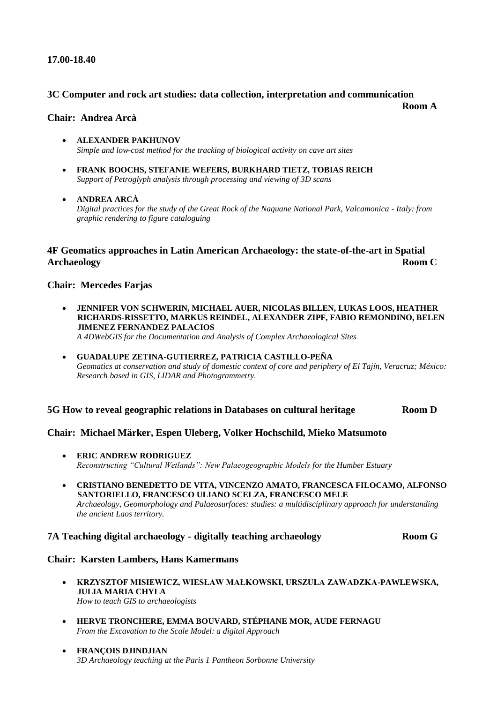#### **17.00-18.40**

#### **3C Computer and rock art studies: data collection, interpretation and communication**

**Room A**

#### **Chair: Andrea Arcà**

- **ALEXANDER PAKHUNOV** *Simple and low-cost method for the tracking of biological activity on cave art sites*
- **FRANK BOOCHS, STEFANIE WEFERS, BURKHARD TIETZ, TOBIAS REICH** *Support of Petroglyph analysis through processing and viewing of 3D scans*
- **ANDREA ARCÀ** *Digital practices for the study of the Great Rock of the Naquane National Park, Valcamonica - Italy: from graphic rendering to figure cataloguing*

#### **4F Geomatics approaches in Latin American Archaeology: the state-of-the-art in Spatial Archaeology Room C**

#### **Chair: Mercedes Farjas**

 **JENNIFER VON SCHWERIN, MICHAEL AUER, NICOLAS BILLEN, LUKAS LOOS, HEATHER RICHARDS-RISSETTO, MARKUS REINDEL, ALEXANDER ZIPF, FABIO REMONDINO, BELEN JIMENEZ FERNANDEZ PALACIOS** 

*A 4DWebGIS for the Documentation and Analysis of Complex Archaeological Sites*

 **GUADALUPE ZETINA-GUTIERREZ, PATRICIA CASTILLO-PEÑA**  *Geomatics at conservation and study of domestic context of core and periphery of El Tajín, Veracruz; México: Research based in GIS, LIDAR and Photogrammetry.*

#### **5G How to reveal geographic relations in Databases on cultural heritage Room D**

#### **Chair: Michael Märker, Espen Uleberg, Volker Hochschild, Mieko Matsumoto**

- **ERIC ANDREW RODRIGUEZ** *Reconstructing "Cultural Wetlands": New Palaeogeographic Models for the Humber Estuary*
- **CRISTIANO BENEDETTO DE VITA, VINCENZO AMATO, FRANCESCA FILOCAMO, ALFONSO SANTORIELLO, FRANCESCO ULIANO SCELZA, FRANCESCO MELE** *Archaeology, Geomorphology and Palaeosurfaces: studies: a multidisciplinary approach for understanding the ancient Laos territory.*

#### **7A Teaching digital archaeology - digitally teaching archaeology Room G**

#### **Chair: Karsten Lambers, Hans Kamermans**

- **KRZYSZTOF MISIEWICZ, WIESŁAW MAŁKOWSKI, URSZULA ZAWADZKA-PAWLEWSKA, JULIA MARIA CHYLA** *How to teach GIS to archaeologists*
- **HERVE TRONCHERE, EMMA BOUVARD, STÉPHANE MOR, AUDE FERNAGU** *From the Excavation to the Scale Model: a digital Approach*
- **FRANÇOIS DJINDJIAN** *3D Archaeology teaching at the Paris 1 Pantheon Sorbonne University*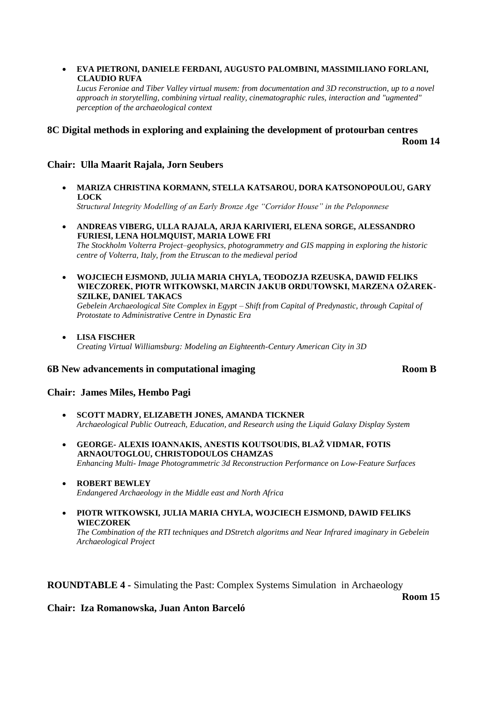#### **EVA PIETRONI, DANIELE FERDANI, AUGUSTO PALOMBINI, MASSIMILIANO FORLANI, CLAUDIO RUFA**

*Lucus Feroniae and Tiber Valley virtual musem: from documentation and 3D reconstruction, up to a novel approach in storytelling, combining virtual reality, cinematographic rules, interaction and "ugmented" perception of the archaeological context*

### **8C Digital methods in exploring and explaining the development of protourban centres Room 14**

#### **Chair: Ulla Maarit Rajala, Jorn Seubers**

 **MARIZA CHRISTINA KORMANN, STELLA KATSAROU, DORA KATSONOPOULOU, GARY LOCK**  *Structural Integrity Modelling of an Early Bronze Age "Corridor House" in the Peloponnese*

 **ANDREAS VIBERG, ULLA RAJALA, ARJA KARIVIERI, ELENA SORGE, ALESSANDRO FURIESI, LENA HOLMQUIST, MARIA LOWE FRI**

*The Stockholm Volterra Project–geophysics, photogrammetry and GIS mapping in exploring the historic centre of Volterra, Italy, from the Etruscan to the medieval period*

 **WOJCIECH EJSMOND, JULIA MARIA CHYLA, TEODOZJA RZEUSKA, DAWID FELIKS WIECZOREK, PIOTR WITKOWSKI, MARCIN JAKUB ORDUTOWSKI, MARZENA OŻAREK-SZILKE, DANIEL TAKACS**

*Gebelein Archaeological Site Complex in Egypt – Shift from Capital of Predynastic, through Capital of Protostate to Administrative Centre in Dynastic Era*

 **LISA FISCHER**  *Creating Virtual Williamsburg: Modeling an Eighteenth-Century American City in 3D*

#### **6B New advancements in computational imaging Room B**

#### **Chair: James Miles, Hembo Pagi**

- **SCOTT MADRY, ELIZABETH JONES, AMANDA TICKNER** *Archaeological Public Outreach, Education, and Research using the Liquid Galaxy Display System*
- **GEORGE- ALEXIS IOANNAKIS, ANESTIS KOUTSOUDIS, BLAŽ VIDMAR, FOTIS ARNAOUTOGLOU, CHRISTODOULOS CHAMZAS** *Enhancing Multi- Image Photogrammetric 3d Reconstruction Performance on Low-Feature Surfaces*
- **ROBERT BEWLEY**  *Endangered Archaeology in the Middle east and North Africa*
- **PIOTR WITKOWSKI, JULIA MARIA CHYLA, WOJCIECH EJSMOND, DAWID FELIKS WIECZOREK** *The Combination of the RTI techniques and DStretch algoritms and Near Infrared imaginary in Gebelein Archaeological Project*

#### **ROUNDTABLE 4 -** Simulating the Past: Complex Systems Simulation in Archaeology

**Room 15**

### **Chair: Iza Romanowska, Juan Anton Barceló**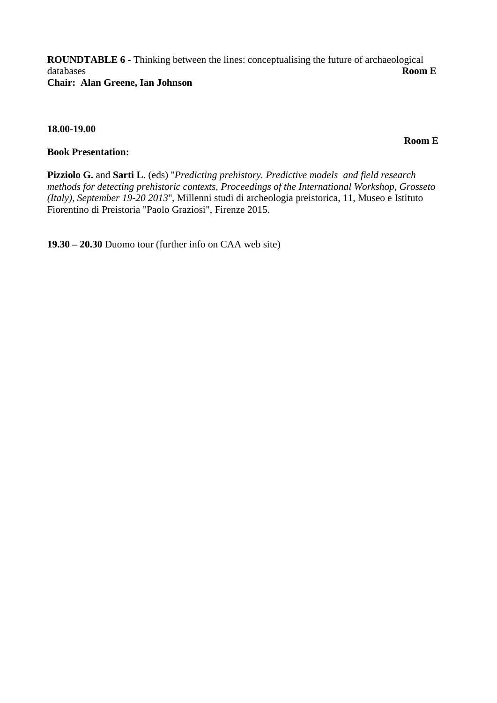**ROUNDTABLE 6 -** Thinking between the lines: conceptualising the future of archaeological databases **Room E Chair: Alan Greene, Ian Johnson**

#### **18.00-19.00**

**Book Presentation:** 

**Pizziolo G.** and **Sarti L**. (eds) "*Predicting prehistory. Predictive models and field research methods for detecting prehistoric contexts, Proceedings of the International Workshop, Grosseto (Italy), September 19-20 2013*", Millenni studi di archeologia preistorica, 11, Museo e Istituto Fiorentino di Preistoria "Paolo Graziosi", Firenze 2015.

**19.30 – 20.30** Duomo tour (further info on CAA web site)

 **Room E**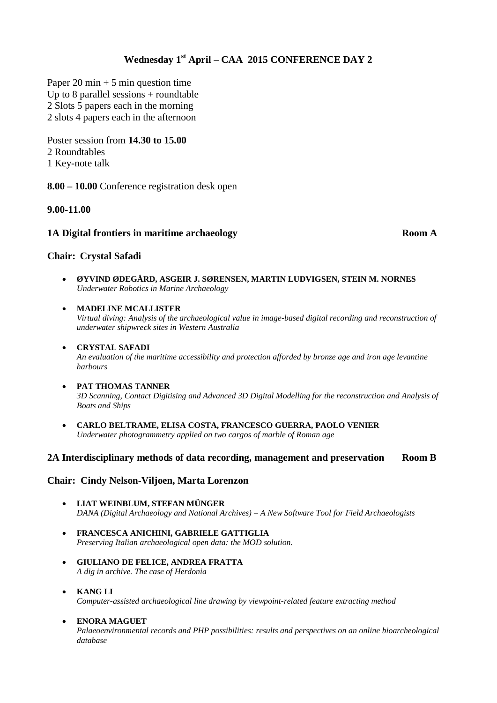# **Wednesday 1st April – CAA 2015 CONFERENCE DAY 2**

Paper 20 min  $+ 5$  min question time Up to 8 parallel sessions  $+$  roundtable 2 Slots 5 papers each in the morning 2 slots 4 papers each in the afternoon

Poster session from **14.30 to 15.00** 2 Roundtables 1 Key-note talk

**8.00 – 10.00** Conference registration desk open

#### **9.00-11.00**

#### **1A Digital frontiers in maritime archaeology Room A Room A**

#### **Chair: Crystal Safadi**

 **ØYVIND ØDEGÅRD, ASGEIR J. SØRENSEN, MARTIN LUDVIGSEN, STEIN M. NORNES**  *Underwater Robotics in Marine Archaeology*

#### **MADELINE MCALLISTER**

*Virtual diving: Analysis of the archaeological value in image-based digital recording and reconstruction of underwater shipwreck sites in Western Australia*

# **CRYSTAL SAFADI**

*An evaluation of the maritime accessibility and protection afforded by bronze age and iron age levantine harbours*

#### **PAT THOMAS TANNER**

*3D Scanning, Contact Digitising and Advanced 3D Digital Modelling for the reconstruction and Analysis of Boats and Ships*

 **CARLO BELTRAME, ELISA COSTA, FRANCESCO GUERRA, PAOLO VENIER** *Underwater photogrammetry applied on two cargos of marble of Roman age*

#### **2A Interdisciplinary methods of data recording, management and preservation Room B**

#### **Chair: Cindy Nelson-Viljoen, Marta Lorenzon**

- **LIAT WEINBLUM, STEFAN MÜNGER** *DANA (Digital Archaeology and National Archives) – A New Software Tool for Field Archaeologists*
- **FRANCESCA ANICHINI, GABRIELE GATTIGLIA** *Preserving Italian archaeological open data: the MOD solution.*
- **GIULIANO DE FELICE, ANDREA FRATTA** *A dig in archive. The case of Herdonia*
- **KANG LI** *Computer-assisted archaeological line drawing by viewpoint-related feature extracting method*

#### **ENORA MAGUET**

*Palaeoenvironmental records and PHP possibilities: results and perspectives on an online bioarcheological database*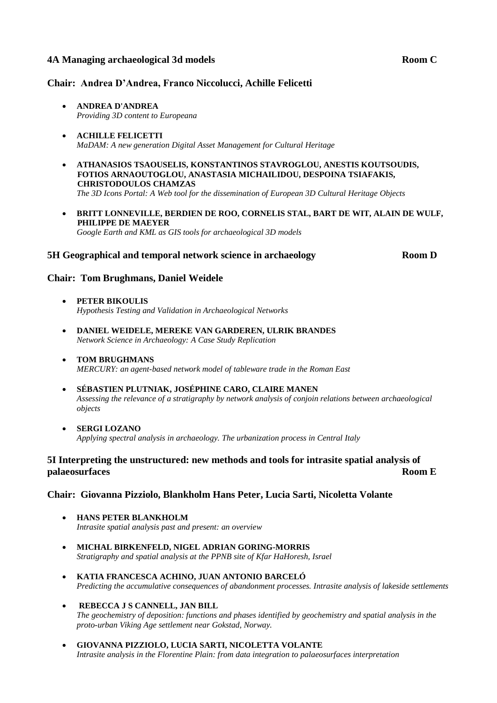#### **4A Managing archaeological 3d models Room C**

#### **Chair: Andrea D'Andrea, Franco Niccolucci, Achille Felicetti**

- **ANDREA D'ANDREA**  *Providing 3D content to Europeana*
- **ACHILLE FELICETTI**  *MaDAM: A new generation Digital Asset Management for Cultural Heritage*
- **ATHANASIOS TSAOUSELIS, KONSTANTINOS STAVROGLOU, ANESTIS KOUTSOUDIS, FOTIOS ARNAOUTOGLOU, ANASTASIA MICHAILIDOU, DESPOINA TSIAFAKIS, CHRISTODOULOS CHAMZAS** *The 3D Icons Portal: A Web tool for the dissemination of European 3D Cultural Heritage Objects*
- **BRITT LONNEVILLE, BERDIEN DE ROO, CORNELIS STAL, BART DE WIT, ALAIN DE WULF, PHILIPPE DE MAEYER**  *Google Earth and KML as GIS tools for archaeological 3D models*

#### **5H Geographical and temporal network science in archaeology Room D**

#### **Chair: Tom Brughmans, Daniel Weidele**

- **PETER BIKOULIS** *Hypothesis Testing and Validation in Archaeological Networks*
- **DANIEL WEIDELE, MEREKE VAN GARDEREN, ULRIK BRANDES** *Network Science in Archaeology: A Case Study Replication*
- **TOM BRUGHMANS** *MERCURY: an agent-based network model of tableware trade in the Roman East*
- **SÉBASTIEN PLUTNIAK, JOSÉPHINE CARO, CLAIRE MANEN** *Assessing the relevance of a stratigraphy by network analysis of conjoin relations between archaeological objects*
- **SERGI LOZANO** *Applying spectral analysis in archaeology. The urbanization process in Central Italy*

#### **5I Interpreting the unstructured: new methods and tools for intrasite spatial analysis of palaeosurfaces Room E**

#### **Chair: Giovanna Pizziolo, Blankholm Hans Peter, Lucia Sarti, Nicoletta Volante**

- **HANS PETER BLANKHOLM** *Intrasite spatial analysis past and present: an overview*
- **MICHAL BIRKENFELD, NIGEL ADRIAN GORING-MORRIS** *Stratigraphy and spatial analysis at the PPNB site of Kfar HaHoresh, Israel*
- **KATIA FRANCESCA ACHINO, JUAN ANTONIO BARCELÓ** *Predicting the accumulative consequences of abandonment processes. Intrasite analysis of lakeside settlements*
- **REBECCA J S CANNELL, JAN BILL**
	- *The geochemistry of deposition: functions and phases identified by geochemistry and spatial analysis in the proto-urban Viking Age settlement near Gokstad, Norway.*
- **GIOVANNA PIZZIOLO, LUCIA SARTI, NICOLETTA VOLANTE** *Intrasite analysis in the Florentine Plain: from data integration to palaeosurfaces interpretation*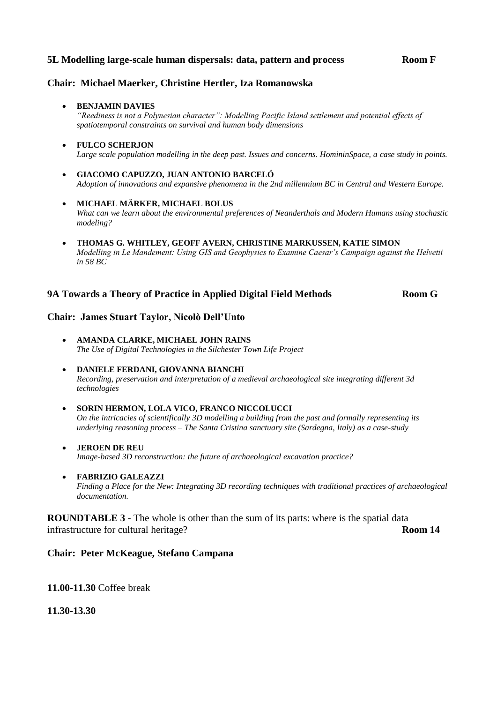#### **5L Modelling large-scale human dispersals: data, pattern and process Room F**

#### **Chair: Michael Maerker, Christine Hertler, Iza Romanowska**

#### **• BENJAMIN DAVIES**

*"Reediness is not a Polynesian character": Modelling Pacific Island settlement and potential effects of spatiotemporal constraints on survival and human body dimensions*

#### **FULCO SCHERJON** *Large scale population modelling in the deep past. Issues and concerns. HomininSpace, a case study in points.*

- **GIACOMO CAPUZZO, JUAN ANTONIO BARCELÓ** *Adoption of innovations and expansive phenomena in the 2nd millennium BC in Central and Western Europe.*
- **MICHAEL MÄRKER, MICHAEL BOLUS** *What can we learn about the environmental preferences of Neanderthals and Modern Humans using stochastic modeling?*
- **THOMAS G. WHITLEY, GEOFF AVERN, CHRISTINE MARKUSSEN, KATIE SIMON** *Modelling in Le Mandement: Using GIS and Geophysics to Examine Caesar's Campaign against the Helvetii in 58 BC*

#### **9A Towards a Theory of Practice in Applied Digital Field Methods Room G**

#### **Chair: James Stuart Taylor, Nicolò Dell'Unto**

- **AMANDA CLARKE, MICHAEL JOHN RAINS** *The Use of Digital Technologies in the Silchester Town Life Project*
- **DANIELE FERDANI, GIOVANNA BIANCHI** *Recording, preservation and interpretation of a medieval archaeological site integrating different 3d technologies*
- **SORIN HERMON, LOLA VICO, FRANCO NICCOLUCCI** *On the intricacies of scientifically 3D modelling a building from the past and formally representing its underlying reasoning process – The Santa Cristina sanctuary site (Sardegna, Italy) as a case-study*
- **JEROEN DE REU** *Image-based 3D reconstruction: the future of archaeological excavation practice?*
- **FABRIZIO GALEAZZI**

*Finding a Place for the New: Integrating 3D recording techniques with traditional practices of archaeological documentation.*

**ROUNDTABLE 3 -** The whole is other than the sum of its parts: where is the spatial data infrastructure for cultural heritage? **Room 14**

#### **Chair: Peter McKeague, Stefano Campana**

**11.00-11.30** Coffee break

**11.30-13.30**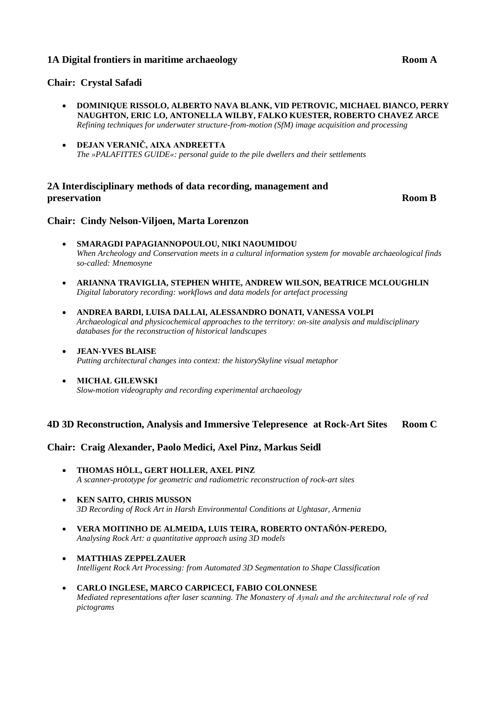#### **1A Digital frontiers in maritime archaeology Room A Room A**

#### **Chair: Crystal Safadi**

- **DOMINIQUE RISSOLO, ALBERTO NAVA BLANK, VID PETROVIC, MICHAEL BIANCO, PERRY NAUGHTON, ERIC LO, ANTONELLA WILBY, FALKO KUESTER, ROBERTO CHAVEZ ARCE** *Refining techniques for underwater structure-from-motion (SfM) image acquisition and processing*
- **DEJAN VERANIČ, AIXA ANDREETTA** *The »PALAFITTES GUIDE«: personal guide to the pile dwellers and their settlements*

#### **2A Interdisciplinary methods of data recording, management and preservation Room B**

#### **Chair: Cindy Nelson-Viljoen, Marta Lorenzon**

- **SMARAGDI PAPAGIANNOPOULOU, NIKI NAOUMIDOU** *When Archeology and Conservation meets in a cultural information system for movable archaeological finds so-called: Mnemosyne*
- **ARIANNA TRAVIGLIA, STEPHEN WHITE, ANDREW WILSON, BEATRICE MCLOUGHLIN** *Digital laboratory recording: workflows and data models for artefact processing*
- **ANDREA BARDI, LUISA DALLAI, ALESSANDRO DONATI, VANESSA VOLPI** *Archaeological and physicochemical approaches to the territory: on-site analysis and muldisciplinary databases for the reconstruction of historical landscapes*
- **JEAN-YVES BLAISE** *Putting architectural changes into context: the historySkyline visual metaphor*
- **MICHAŁ GILEWSKI** *Slow-motion videography and recording experimental archaeology*

#### **4D 3D Reconstruction, Analysis and Immersive Telepresence at Rock-Art Sites Room C**

#### **Chair: Craig Alexander, Paolo Medici, Axel Pinz, Markus Seidl**

- **THOMAS HÖLL, GERT HOLLER, AXEL PINZ** *A scanner-prototype for geometric and radiometric reconstruction of rock-art sites*
- **KEN SAITO, CHRIS MUSSON** *3D Recording of Rock Art in Harsh Environmental Conditions at Ughtasar, Armenia*
- **VERA MOITINHO DE ALMEIDA, LUIS TEIRA, ROBERTO ONTAÑÓN-PEREDO,**  *Analysing Rock Art: a quantitative approach using 3D models*
- **MATTHIAS ZEPPELZAUER** *Intelligent Rock Art Processing: from Automated 3D Segmentation to Shape Classification*
- **CARLO INGLESE, MARCO CARPICECI, FABIO COLONNESE** *Mediated representations after laser scanning. The Monastery of Aynalı and the architectural role of red pictograms*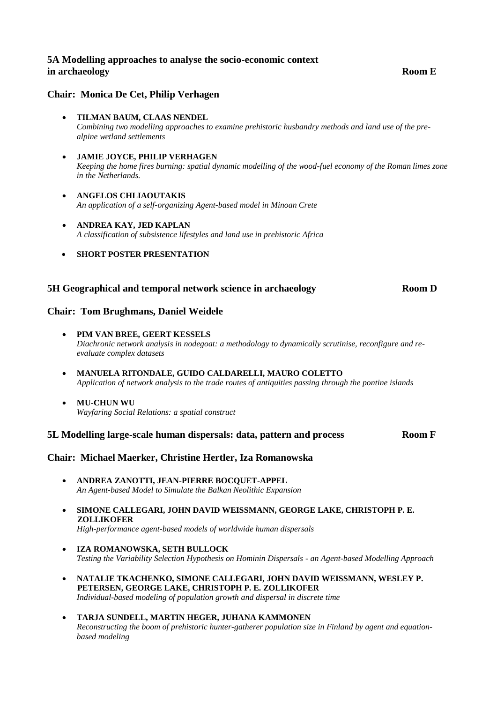#### **5A Modelling approaches to analyse the socio-economic context in archaeology Room E**

#### **Chair: Monica De Cet, Philip Verhagen**

- **TILMAN BAUM, CLAAS NENDEL**  *Combining two modelling approaches to examine prehistoric husbandry methods and land use of the prealpine wetland settlements*
- **JAMIE JOYCE, PHILIP VERHAGEN** *Keeping the home fires burning: spatial dynamic modelling of the wood-fuel economy of the Roman limes zone in the Netherlands.*
- **ANGELOS CHLIAOUTAKIS** *An application of a self-organizing Agent-based model in Minoan Crete*
- **ANDREA KAY, JED KAPLAN** *A classification of subsistence lifestyles and land use in prehistoric Africa*
- **SHORT POSTER PRESENTATION**

#### **5H Geographical and temporal network science in archaeology Room D**

#### **Chair: Tom Brughmans, Daniel Weidele**

- **PIM VAN BREE, GEERT KESSELS** *Diachronic network analysis in nodegoat: a methodology to dynamically scrutinise, reconfigure and reevaluate complex datasets*
- **MANUELA RITONDALE, GUIDO CALDARELLI, MAURO COLETTO** *Application of network analysis to the trade routes of antiquities passing through the pontine islands*
- **MU-CHUN WU** *Wayfaring Social Relations: a spatial construct*

#### **5L Modelling large-scale human dispersals: data, pattern and process Room F**

#### **Chair: Michael Maerker, Christine Hertler, Iza Romanowska**

- **ANDREA ZANOTTI, JEAN-PIERRE BOCQUET-APPEL** *An Agent-based Model to Simulate the Balkan Neolithic Expansion*
- **SIMONE CALLEGARI, JOHN DAVID WEISSMANN, GEORGE LAKE, CHRISTOPH P. E. ZOLLIKOFER**
	- *High-performance agent-based models of worldwide human dispersals*
- **IZA ROMANOWSKA, SETH BULLOCK** *Testing the Variability Selection Hypothesis on Hominin Dispersals - an Agent-based Modelling Approach*
- **NATALIE TKACHENKO, SIMONE CALLEGARI, JOHN DAVID WEISSMANN, WESLEY P. PETERSEN, GEORGE LAKE, CHRISTOPH P. E. ZOLLIKOFER** *Individual-based modeling of population growth and dispersal in discrete time*
- **TARJA SUNDELL, MARTIN HEGER, JUHANA KAMMONEN** *Reconstructing the boom of prehistoric hunter-gatherer population size in Finland by agent and equationbased modeling*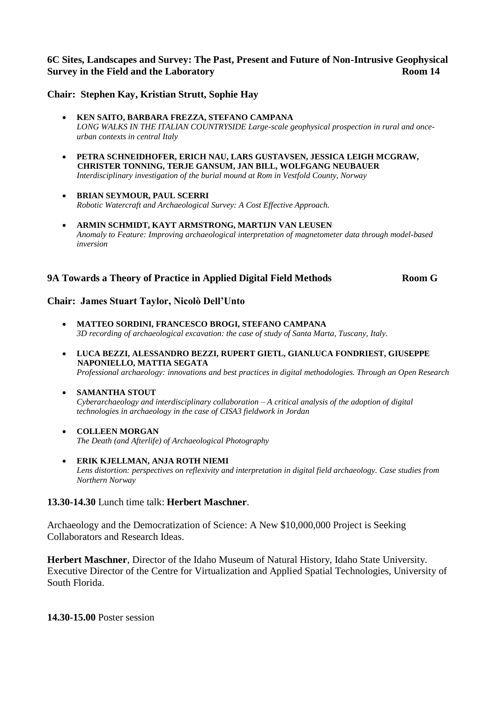### **6C Sites, Landscapes and Survey: The Past, Present and Future of Non-Intrusive Geophysical Survey in the Field and the Laboratory Room 14 Room 14**

#### **Chair: Stephen Kay, Kristian Strutt, Sophie Hay**

- **KEN SAITO, BARBARA FREZZA, STEFANO CAMPANA** *LONG WALKS IN THE ITALIAN COUNTRYSIDE Large-scale geophysical prospection in rural and onceurban contexts in central Italy*
- **PETRA SCHNEIDHOFER, ERICH NAU, LARS GUSTAVSEN, JESSICA LEIGH MCGRAW, CHRISTER TONNING, TERJE GANSUM, JAN BILL, WOLFGANG NEUBAUER** *Interdisciplinary investigation of the burial mound at Rom in Vestfold County, Norway*
- **BRIAN SEYMOUR, PAUL SCERRI** *Robotic Watercraft and Archaeological Survey: A Cost Effective Approach.*
- **ARMIN SCHMIDT, KAYT ARMSTRONG, MARTIJN VAN LEUSEN** *Anomaly to Feature: Improving archaeological interpretation of magnetometer data through model-based inversion*

#### **9A Towards a Theory of Practice in Applied Digital Field Methods Room G**

#### **Chair: James Stuart Taylor, Nicolò Dell'Unto**

- **MATTEO SORDINI, FRANCESCO BROGI, STEFANO CAMPANA** *3D recording of archaeological excavation: the case of study of Santa Marta, Tuscany, Italy.*
- **LUCA BEZZI, ALESSANDRO BEZZI, RUPERT GIETL, GIANLUCA FONDRIEST, GIUSEPPE NAPONIELLO, MATTIA SEGATA** *Professional archaeology: innovations and best practices in digital methodologies. Through an Open Research*

#### **SAMANTHA STOUT**

*Cyberarchaeology and interdisciplinary collaboration – A critical analysis of the adoption of digital technologies in archaeology in the case of CISA3 fieldwork in Jordan*

- **COLLEEN MORGAN** *The Death (and Afterlife) of Archaeological Photography*
- **ERIK KJELLMAN, ANJA ROTH NIEMI** *Lens distortion: perspectives on reflexivity and interpretation in digital field archaeology. Case studies from Northern Norway*

#### **13.30-14.30** Lunch time talk: **Herbert Maschner**.

Archaeology and the Democratization of Science: A New \$10,000,000 Project is Seeking Collaborators and Research Ideas.

**Herbert Maschner**, Director of the Idaho Museum of Natural History, Idaho State University. Executive Director of the Centre for Virtualization and Applied Spatial Technologies, University of South Florida.

**14.30-15.00** Poster session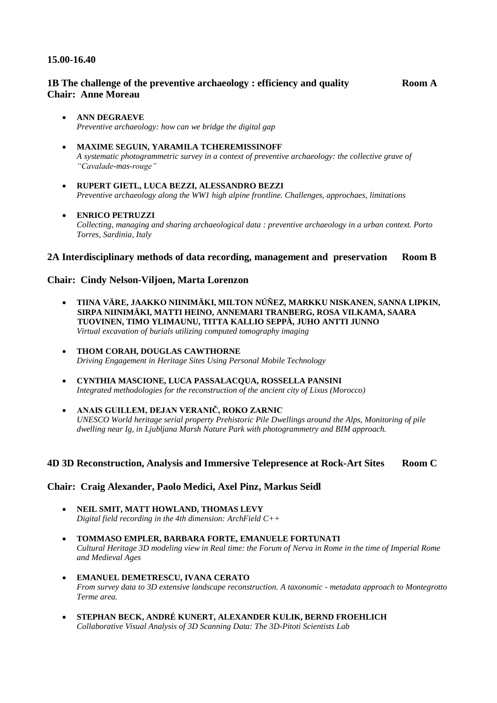#### **15.00-16.40**

#### **1B The challenge of the preventive archaeology : efficiency and quality**  $\bf{Room}$  **A Chair: Anne Moreau**

#### **ANN DEGRAEVE**  *Preventive archaeology: how can we bridge the digital gap*

- **MAXIME SEGUIN, YARAMILA TCHEREMISSINOFF** *A systematic photogrammetric survey in a context of preventive archaeology: the collective grave of "Cavalade-mas-rouge"*
- **RUPERT GIETL, LUCA BEZZI, ALESSANDRO BEZZI** *Preventive archaeology along the WW1 high alpine frontline. Challenges, approchaes, limitations*

#### **ENRICO PETRUZZI**

*Collecting, managing and sharing archaeological data : preventive archaeology in a urban context. Porto Torres, Sardinia, Italy*

#### **2A Interdisciplinary methods of data recording, management and preservation Room B**

#### **Chair: Cindy Nelson-Viljoen, Marta Lorenzon**

- **TIINA VÄRE, JAAKKO NIINIMÄKI, MILTON NÚÑEZ, MARKKU NISKANEN, SANNA LIPKIN, SIRPA NIINIMÄKI, MATTI HEINO, ANNEMARI TRANBERG, ROSA VILKAMA, SAARA TUOVINEN, TIMO YLIMAUNU, TITTA KALLIO SEPPÄ, JUHO ANTTI JUNNO**  *Virtual excavation of burials utilizing computed tomography imaging*
- **THOM CORAH, DOUGLAS CAWTHORNE** *Driving Engagement in Heritage Sites Using Personal Mobile Technology*
- **CYNTHIA MASCIONE, LUCA PASSALACQUA, ROSSELLA PANSINI** *Integrated methodologies for the reconstruction of the ancient city of Lixus (Morocco)*
- **ANAIS GUILLEM, DEJAN VERANIČ, ROKO ZARNIC** *UNESCO World heritage serial property Prehistoric Pile Dwellings around the Alps, Monitoring of pile dwelling near Ig, in Ljubljana Marsh Nature Park with photogrammetry and BIM approach.*

#### **4D 3D Reconstruction, Analysis and Immersive Telepresence at Rock-Art Sites Room C**

#### **Chair: Craig Alexander, Paolo Medici, Axel Pinz, Markus Seidl**

- **NEIL SMIT, MATT HOWLAND, THOMAS LEVY** *Digital field recording in the 4th dimension: ArchField C++*
- **TOMMASO EMPLER, BARBARA FORTE, EMANUELE FORTUNATI** *Cultural Heritage 3D modeling view in Real time: the Forum of Nerva in Rome in the time of Imperial Rome and Medieval Ages*
- **EMANUEL DEMETRESCU, IVANA CERATO** *From survey data to 3D extensive landscape reconstruction. A taxonomic - metadata approach to Montegrotto Terme area.*
- **STEPHAN BECK, ANDRÉ KUNERT, ALEXANDER KULIK, BERND FROEHLICH** *Collaborative Visual Analysis of 3D Scanning Data: The 3D-Pitoti Scientists Lab*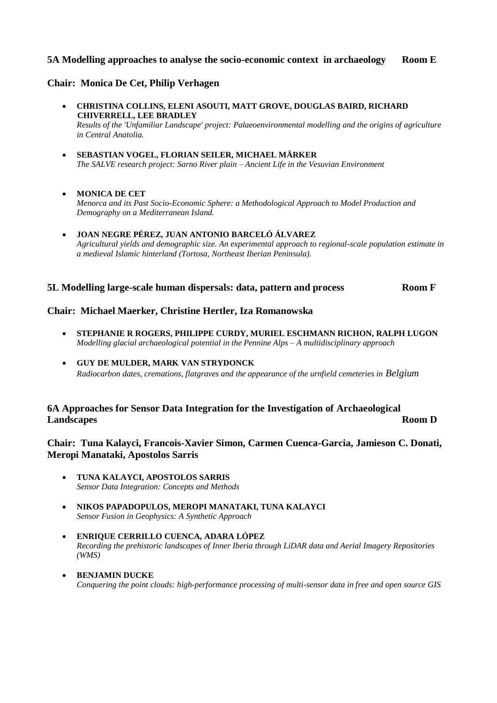#### **5A Modelling approaches to analyse the socio-economic context in archaeology Room E**

#### **Chair: Monica De Cet, Philip Verhagen**

- **CHRISTINA COLLINS, ELENI ASOUTI, MATT GROVE, DOUGLAS BAIRD, RICHARD CHIVERRELL, LEE BRADLEY** *Results of the 'Unfamiliar Landscape' project: Palaeoenvironmental modelling and the origins of agriculture in Central Anatolia.*
- **SEBASTIAN VOGEL, FLORIAN SEILER, MICHAEL MÄRKER** *The SALVE research project: Sarno River plain – Ancient Life in the Vesuvian Environment*
- **MONICA DE CET** *Menorca and its Past Socio-Economic Sphere: a Methodological Approach to Model Production and Demography on a Mediterranean Island.*
- **JOAN NEGRE PÉREZ, JUAN ANTONIO BARCELÓ ÁLVAREZ** *Agricultural yields and demographic size. An experimental approach to regional-scale population estimate in a medieval Islamic hinterland (Tortosa, Northeast Iberian Peninsula).*

#### **5L Modelling large-scale human dispersals: data, pattern and process Room F**

#### **Chair: Michael Maerker, Christine Hertler, Iza Romanowska**

- **STEPHANIE R ROGERS, PHILIPPE CURDY, MURIEL ESCHMANN RICHON, RALPH LUGON** *Modelling glacial archaeological potential in the Pennine Alps – A multidisciplinary approach*
- **GUY DE MULDER, MARK VAN STRYDONCK** *Radiocarbon dates, cremations, flatgraves and the appearance of the urnfield cemeteries in Belgium*

#### **6A Approaches for Sensor Data Integration for the Investigation of Archaeological Landscapes Room D**

**Chair: Tuna Kalayci, Francois-Xavier Simon, Carmen Cuenca-Garcia, Jamieson C. Donati, Meropi Manataki, Apostolos Sarris**

- **TUNA KALAYCI, APOSTOLOS SARRIS** *Sensor Data Integration: Concepts and Methods*
- **NIKOS PAPADOPULOS, MEROPI MANATAKI, TUNA KALAYCI** *Sensor Fusion in Geophysics: A Synthetic Approach*
- **ENRIQUE CERRILLO CUENCA, ADARA LÓPEZ** *Recording the prehistoric landscapes of Inner Iberia through LiDAR data and Aerial Imagery Repositories (WMS)*
- **BENJAMIN DUCKE** *Conquering the point clouds: high-performance processing of multi-sensor data in free and open source GIS*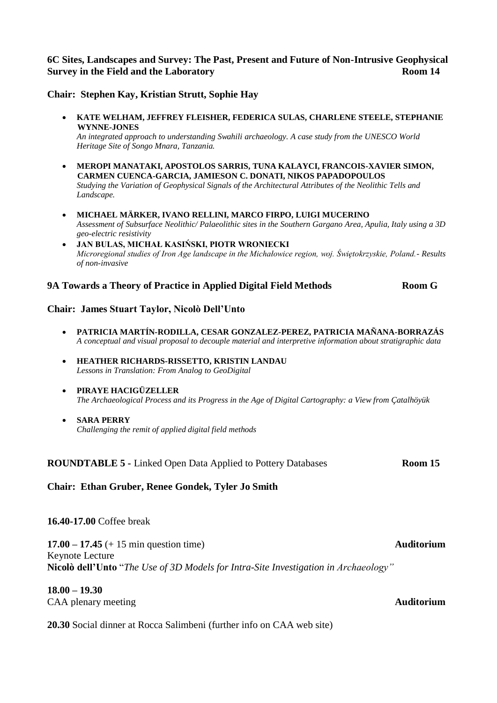#### **6C Sites, Landscapes and Survey: The Past, Present and Future of Non-Intrusive Geophysical Survey in the Field and the Laboratory Room 14 Room 14**

**Chair: Stephen Kay, Kristian Strutt, Sophie Hay**

 **KATE WELHAM, JEFFREY FLEISHER, FEDERICA SULAS, CHARLENE STEELE, STEPHANIE WYNNE-JONES**

*An integrated approach to understanding Swahili archaeology. A case study from the UNESCO World Heritage Site of Songo Mnara, Tanzania.*

- **MEROPI MANATAKI, APOSTOLOS SARRIS, TUNA KALAYCI, FRANCOIS-XAVIER SIMON, CARMEN CUENCA-GARCIA, JAMIESON C. DONATI, NIKOS PAPADOPOULOS** *Studying the Variation of Geophysical Signals of the Architectural Attributes of the Neolithic Tells and Landscape.*
- **MICHAEL MÄRKER, IVANO RELLINI, MARCO FIRPO, LUIGI MUCERINO** *Assessment of Subsurface Neolithic/ Palaeolithic sites in the Southern Gargano Area, Apulia, Italy using a 3D geo-electric resistivity*
- **JAN BULAS, MICHAŁ KASIŃSKI, PIOTR WRONIECKI** *Microregional studies of Iron Age landscape in the Michałowice region, woj. Świętokrzyskie, Poland.- Results of non-invasive*

#### **9A Towards a Theory of Practice in Applied Digital Field Methods Room G**

#### **Chair: James Stuart Taylor, Nicolò Dell'Unto**

- **PATRICIA MARTÍN-RODILLA, CESAR GONZALEZ-PEREZ, PATRICIA MAÑANA-BORRAZÁS**  *A conceptual and visual proposal to decouple material and interpretive information about stratigraphic data*
- **HEATHER RICHARDS-RISSETTO, KRISTIN LANDAU** *Lessons in Translation: From Analog to GeoDigital*
- **PIRAYE HACIGÜZELLER**  *The Archaeological Process and its Progress in the Age of Digital Cartography: a View from Çatalhöyük*
- **SARA PERRY** *Challenging the remit of applied digital field methods*

**ROUNDTABLE 5 -** Linked Open Data Applied to Pottery Databases **Room 15** 

#### **Chair: Ethan Gruber, Renee Gondek, Tyler Jo Smith**

#### **16.40-17.00** Coffee break

**17.00 – 17.45** (+ 15 min question time) **Auditorium** Keynote Lecture **Nicolò dell'Unto** "*The Use of 3D Models for Intra-Site Investigation in Archaeology"*

#### **18.00 – 19.30**

CAA plenary meeting **Auditorium**

**20.30** Social dinner at Rocca Salimbeni (further info on CAA web site)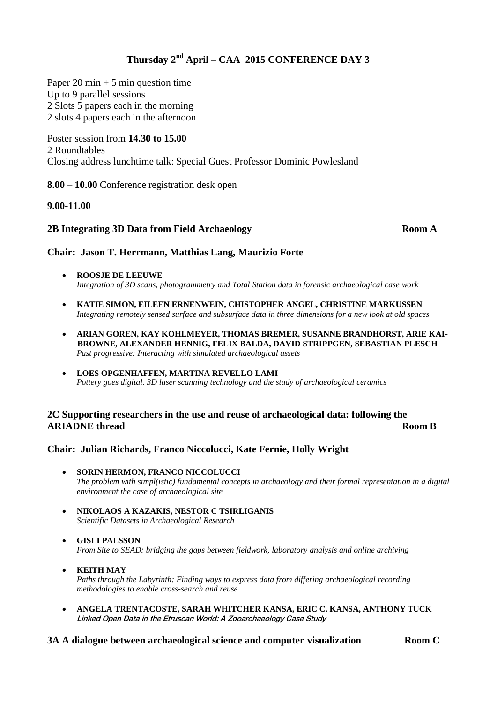# **Thursday 2nd April – CAA 2015 CONFERENCE DAY 3**

Paper 20 min  $+ 5$  min question time Up to 9 parallel sessions 2 Slots 5 papers each in the morning 2 slots 4 papers each in the afternoon

Poster session from **14.30 to 15.00** 2 Roundtables Closing address lunchtime talk: Special Guest Professor Dominic Powlesland

**8.00 – 10.00** Conference registration desk open

#### **9.00-11.00**

#### **2B Integrating 3D Data from Field Archaeology Room A**

#### **Chair: Jason T. Herrmann, Matthias Lang, Maurizio Forte**

- **ROOSJE DE LEEUWE**  *Integration of 3D scans, photogrammetry and Total Station data in forensic archaeological case work*
- **KATIE SIMON, EILEEN ERNENWEIN, CHISTOPHER ANGEL, CHRISTINE MARKUSSEN** *Integrating remotely sensed surface and subsurface data in three dimensions for a new look at old spaces*
- **ARIAN GOREN, KAY KOHLMEYER, THOMAS BREMER, SUSANNE BRANDHORST, ARIE KAI-BROWNE, ALEXANDER HENNIG, FELIX BALDA, DAVID STRIPPGEN, SEBASTIAN PLESCH** *Past progressive: Interacting with simulated archaeological assets*
- **LOES OPGENHAFFEN, MARTINA REVELLO LAMI**  *Pottery goes digital. 3D laser scanning technology and the study of archaeological ceramics*

#### **2C Supporting researchers in the use and reuse of archaeological data: following the ARIADNE** thread **Room B**

#### **Chair: Julian Richards, Franco Niccolucci, Kate Fernie, Holly Wright**

- **SORIN HERMON, FRANCO NICCOLUCCI** *The problem with simpl(istic) fundamental concepts in archaeology and their formal representation in a digital environment the case of archaeological site*
- **NIKOLAOS A KAZAKIS, NESTOR C TSIRLIGANIS** *Scientific Datasets in Archaeological Research*
- **GISLI PALSSON** *From Site to SEAD: bridging the gaps between fieldwork, laboratory analysis and online archiving*
- **KEITH MAY** *Paths through the Labyrinth: Finding ways to express data from differing archaeological recording methodologies to enable cross-search and reuse*
- **ANGELA TRENTACOSTE, SARAH WHITCHER KANSA, ERIC C. KANSA, ANTHONY TUCK** Linked Open Data in the Etruscan World: A Zooarchaeology Case Study

#### **3A A dialogue between archaeological science and computer visualization Room C**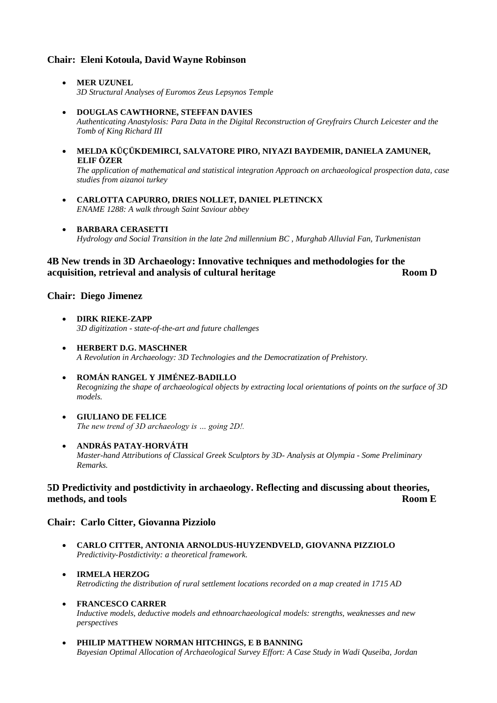#### **Chair: Eleni Kotoula, David Wayne Robinson**

- **MER UZUNEL** *3D Structural Analyses of Euromos Zeus Lepsynos Temple*
- **DOUGLAS CAWTHORNE, STEFFAN DAVIES** *Authenticating Anastylosis: Para Data in the Digital Reconstruction of Greyfrairs Church Leicester and the Tomb of King Richard III*
- **MELDA KÜÇÜKDEMIRCI, SALVATORE PIRO, NIYAZI BAYDEMIR, DANIELA ZAMUNER, ELIF ÖZER**

*The application of mathematical and statistical integration Approach on archaeological prospection data, case studies from aizanoi turkey*

- **CARLOTTA CAPURRO, DRIES NOLLET, DANIEL PLETINCKX** *ENAME 1288: A walk through Saint Saviour abbey*
- **BARBARA CERASETTI** *Hydrology and Social Transition in the late 2nd millennium BC , Murghab Alluvial Fan, Turkmenistan*

#### **4B New trends in 3D Archaeology: Innovative techniques and methodologies for the acquisition, retrieval and analysis of cultural heritage <b>Room D Room D**

#### **Chair: Diego Jimenez**

- **DIRK RIEKE-ZAPP** *3D digitization - state-of-the-art and future challenges*
- **HERBERT D.G. MASCHNER** *A Revolution in Archaeology: 3D Technologies and the Democratization of Prehistory.*
- **ROMÁN RANGEL Y JIMÉNEZ-BADILLO** *Recognizing the shape of archaeological objects by extracting local orientations of points on the surface of 3D models.*
- **GIULIANO DE FELICE** *The new trend of 3D archaeology is … going 2D!.*
- **ANDRÁS PATAY-HORVÁTH** *Master-hand Attributions of Classical Greek Sculptors by 3D- Analysis at Olympia - Some Preliminary Remarks.*

#### **5D Predictivity and postdictivity in archaeology. Reflecting and discussing about theories, methods, and tools Room E**

#### **Chair: Carlo Citter, Giovanna Pizziolo**

- **CARLO CITTER, ANTONIA ARNOLDUS-HUYZENDVELD, GIOVANNA PIZZIOLO** *Predictivity-Postdictivity: a theoretical framework.*
- **IRMELA HERZOG** *Retrodicting the distribution of rural settlement locations recorded on a map created in 1715 AD*
- **FRANCESCO CARRER**

*Inductive models, deductive models and ethnoarchaeological models: strengths, weaknesses and new perspectives*

 **PHILIP MATTHEW NORMAN HITCHINGS, E B BANNING** *Bayesian Optimal Allocation of Archaeological Survey Effort: A Case Study in Wadi Quseiba, Jordan*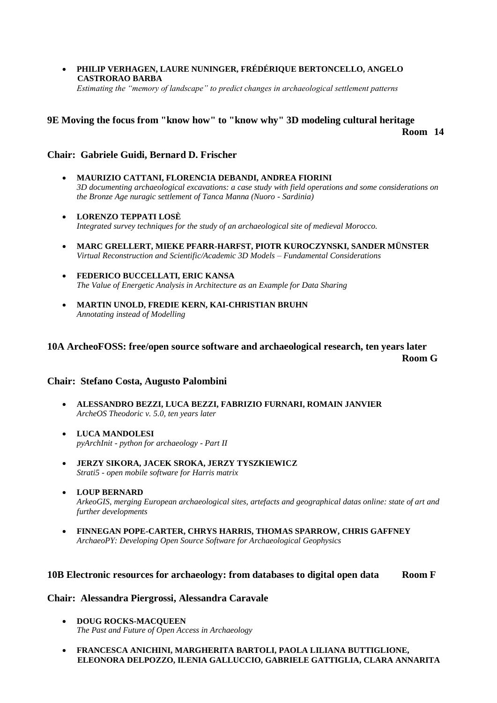**PHILIP VERHAGEN, LAURE NUNINGER, FRÉDÉRIQUE BERTONCELLO, ANGELO CASTRORAO BARBA**

*Estimating the "memory of landscape" to predict changes in archaeological settlement patterns*

## **9E Moving the focus from "know how" to "know why" 3D modeling cultural heritage Room 14**

#### **Chair: Gabriele Guidi, Bernard D. Frischer**

- **MAURIZIO CATTANI, FLORENCIA DEBANDI, ANDREA FIORINI** *3D documenting archaeological excavations: a case study with field operations and some considerations on the Bronze Age nuragic settlement of Tanca Manna (Nuoro - Sardinia)*
- **LORENZO TEPPATI LOSÈ** *Integrated survey techniques for the study of an archaeological site of medieval Morocco.*
- **MARC GRELLERT, MIEKE PFARR-HARFST, PIOTR KUROCZYNSKI, SANDER MÜNSTER** *Virtual Reconstruction and Scientific/Academic 3D Models – Fundamental Considerations*
- **FEDERICO BUCCELLATI, ERIC KANSA** *The Value of Energetic Analysis in Architecture as an Example for Data Sharing*
- **MARTIN UNOLD, FREDIE KERN, KAI-CHRISTIAN BRUHN** *Annotating instead of Modelling*

#### **10A ArcheoFOSS: free/open source software and archaeological research, ten years later Room G**

#### **Chair: Stefano Costa, Augusto Palombini**

- **ALESSANDRO BEZZI, LUCA BEZZI, FABRIZIO FURNARI, ROMAIN JANVIER** *ArcheOS Theodoric v. 5.0, ten years later*
- **LUCA MANDOLESI** *pyArchInit - python for archaeology - Part II*
- **JERZY SIKORA, JACEK SROKA, JERZY TYSZKIEWICZ** *Strati5 - open mobile software for Harris matrix*
- **LOUP BERNARD** *ArkeoGIS, merging European archaeological sites, artefacts and geographical datas online: state of art and further developments*
- **FINNEGAN POPE-CARTER, CHRYS HARRIS, THOMAS SPARROW, CHRIS GAFFNEY** *ArchaeoPY: Developing Open Source Software for Archaeological Geophysics*

#### **10B Electronic resources for archaeology: from databases to digital open data Room F**

#### **Chair: Alessandra Piergrossi, Alessandra Caravale**

- **DOUG ROCKS-MACQUEEN** *The Past and Future of Open Access in Archaeology*
- **FRANCESCA ANICHINI, MARGHERITA BARTOLI, PAOLA LILIANA BUTTIGLIONE, ELEONORA DELPOZZO, ILENIA GALLUCCIO, GABRIELE GATTIGLIA, CLARA ANNARITA**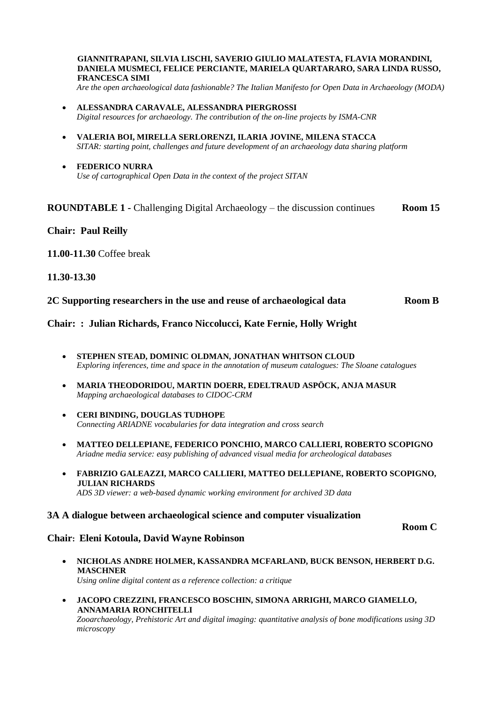**GIANNITRAPANI, SILVIA LISCHI, SAVERIO GIULIO MALATESTA, FLAVIA MORANDINI, DANIELA MUSMECI, FELICE PERCIANTE, MARIELA QUARTARARO, SARA LINDA RUSSO, FRANCESCA SIMI**

*Are the open archaeological data fashionable? The Italian Manifesto for Open Data in Archaeology (MODA)*

- **ALESSANDRA CARAVALE, ALESSANDRA PIERGROSSI** *Digital resources for archaeology. The contribution of the on-line projects by ISMA-CNR*
- **VALERIA BOI, MIRELLA SERLORENZI, ILARIA JOVINE, MILENA STACCA** *SITAR: starting point, challenges and future development of an archaeology data sharing platform*
- **FEDERICO NURRA** *Use of cartographical Open Data in the context of the project SITAN*

#### **ROUNDTABLE 1 -** Challenging Digital Archaeology – the discussion continues **Room 15**

#### **Chair: Paul Reilly**

**11.00-11.30** Coffee break

#### **11.30-13.30**

**2C Supporting researchers in the use and reuse of archaeological data Room B**

**Chair: : Julian Richards, Franco Niccolucci, Kate Fernie, Holly Wright**

- **STEPHEN STEAD, DOMINIC OLDMAN, JONATHAN WHITSON CLOUD** *Exploring inferences, time and space in the annotation of museum catalogues: The Sloane catalogues*
- **MARIA THEODORIDOU, MARTIN DOERR, EDELTRAUD ASPÖCK, ANJA MASUR** *Mapping archaeological databases to CIDOC-CRM*
- **CERI BINDING, DOUGLAS TUDHOPE** *Connecting ARIADNE vocabularies for data integration and cross search*
- **MATTEO DELLEPIANE, FEDERICO PONCHIO, MARCO CALLIERI, ROBERTO SCOPIGNO** *Ariadne media service: easy publishing of advanced visual media for archeological databases*
- **FABRIZIO GALEAZZI, MARCO CALLIERI, MATTEO DELLEPIANE, ROBERTO SCOPIGNO, JULIAN RICHARDS** *ADS 3D viewer: a web-based dynamic working environment for archived 3D data*

#### **3A A dialogue between archaeological science and computer visualization**

#### **Chair: Eleni Kotoula, David Wayne Robinson**

- **NICHOLAS ANDRE HOLMER, KASSANDRA MCFARLAND, BUCK BENSON, HERBERT D.G. MASCHNER** *Using online digital content as a reference collection: a critique*
- **JACOPO CREZZINI, FRANCESCO BOSCHIN, SIMONA ARRIGHI, MARCO GIAMELLO, ANNAMARIA RONCHITELLI** *Zooarchaeology, Prehistoric Art and digital imaging: quantitative analysis of bone modifications using 3D microscopy*

#### **Room C**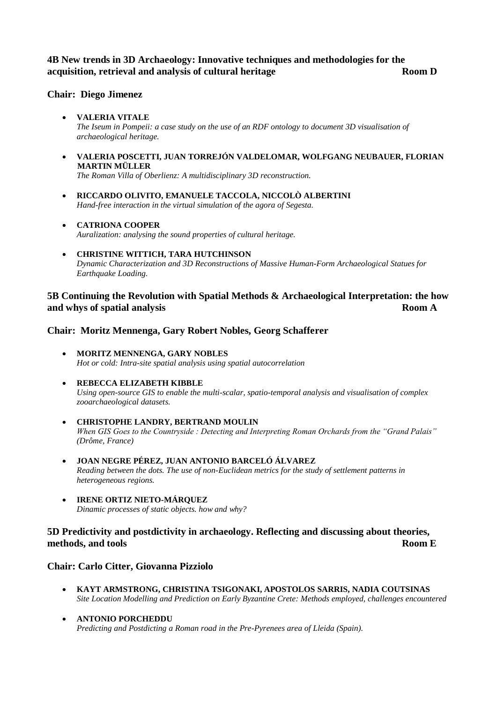#### **4B New trends in 3D Archaeology: Innovative techniques and methodologies for the acquisition, retrieval and analysis of cultural heritage <b>Room D Room D**

#### **Chair: Diego Jimenez**

- **VALERIA VITALE** *The Iseum in Pompeii: a case study on the use of an RDF ontology to document 3D visualisation of archaeological heritage.*
- **VALERIA POSCETTI, JUAN TORREJÓN VALDELOMAR, WOLFGANG NEUBAUER, FLORIAN MARTIN MÜLLER**

*The Roman Villa of Oberlienz: A multidisciplinary 3D reconstruction.*

- **RICCARDO OLIVITO, EMANUELE TACCOLA, NICCOLÒ ALBERTINI** *Hand-free interaction in the virtual simulation of the agora of Segesta.*
- **CATRIONA COOPER** *Auralization: analysing the sound properties of cultural heritage.*
- **CHRISTINE WITTICH, TARA HUTCHINSON** *Dynamic Characterization and 3D Reconstructions of Massive Human-Form Archaeological Statues for Earthquake Loading.*

#### **5B Continuing the Revolution with Spatial Methods & Archaeological Interpretation: the how and whys of spatial analysis** Room A

#### **Chair: Moritz Mennenga, Gary Robert Nobles, Georg Schafferer**

- **MORITZ MENNENGA, GARY NOBLES** *Hot or cold: Intra-site spatial analysis using spatial autocorrelation*
- **REBECCA ELIZABETH KIBBLE** *Using open-source GIS to enable the multi-scalar, spatio-temporal analysis and visualisation of complex zooarchaeological datasets.*
- **CHRISTOPHE LANDRY, BERTRAND MOULIN** *When GIS Goes to the Countryside : Detecting and Interpreting Roman Orchards from the "Grand Palais" (Drôme, France)*
- **JOAN NEGRE PÉREZ, JUAN ANTONIO BARCELÓ ÁLVAREZ** *Reading between the dots. The use of non-Euclidean metrics for the study of settlement patterns in heterogeneous regions.*
- **IRENE ORTIZ NIETO-MÁRQUEZ** *Dinamic processes of static objects. how and why?*

#### **5D Predictivity and postdictivity in archaeology. Reflecting and discussing about theories, methods, and tools Room E**

#### **Chair: Carlo Citter, Giovanna Pizziolo**

- **KAYT ARMSTRONG, CHRISTINA TSIGONAKI, APOSTOLOS SARRIS, NADIA COUTSINAS** *Site Location Modelling and Prediction on Early Byzantine Crete: Methods employed, challenges encountered*
- **ANTONIO PORCHEDDU** *Predicting and Postdicting a Roman road in the Pre-Pyrenees area of Lleida (Spain).*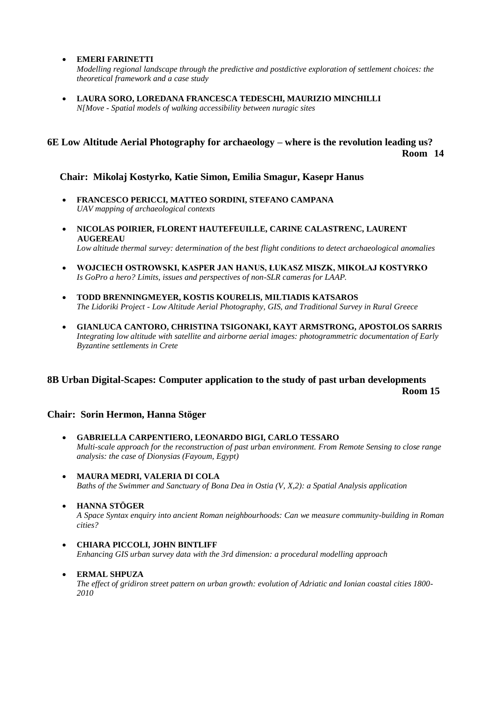**EMERI FARINETTI**

*Modelling regional landscape through the predictive and postdictive exploration of settlement choices: the theoretical framework and a case study*

 **LAURA SORO, LOREDANA FRANCESCA TEDESCHI, MAURIZIO MINCHILLI** *N[Move - Spatial models of walking accessibility between nuragic sites*

### **6E Low Altitude Aerial Photography for archaeology – where is the revolution leading us? Room 14**

#### **Chair: Mikolaj Kostyrko, Katie Simon, Emilia Smagur, Kasepr Hanus**

- **FRANCESCO PERICCI, MATTEO SORDINI, STEFANO CAMPANA** *UAV mapping of archaeological contexts*
- **NICOLAS POIRIER, FLORENT HAUTEFEUILLE, CARINE CALASTRENC, LAURENT AUGEREAU**  *Low altitude thermal survey: determination of the best flight conditions to detect archaeological anomalies*
- **WOJCIECH OSTROWSKI, KASPER JAN HANUS, ŁUKASZ MISZK, MIKOŁAJ KOSTYRKO** *Is GoPro a hero? Limits, issues and perspectives of non-SLR cameras for LAAP.*
- **TODD BRENNINGMEYER, KOSTIS KOURELIS, MILTIADIS KATSAROS** *The Lidoriki Project - Low Altitude Aerial Photography, GIS, and Traditional Survey in Rural Greece*
- **GIANLUCA CANTORO, CHRISTINA TSIGONAKI, KAYT ARMSTRONG, APOSTOLOS SARRIS** *Integrating low altitude with satellite and airborne aerial images: photogrammetric documentation of Early Byzantine settlements in Crete*

#### **8B Urban Digital-Scapes: Computer application to the study of past urban developments Room 15**

#### **Chair: Sorin Hermon, Hanna Stöger**

- **GABRIELLA CARPENTIERO, LEONARDO BIGI, CARLO TESSARO** *Multi-scale approach for the reconstruction of past urban environment. From Remote Sensing to close range analysis: the case of Dionysias (Fayoum, Egypt)*
- **MAURA MEDRI, VALERIA DI COLA**  *Baths of the Swimmer and Sanctuary of Bona Dea in Ostia (V, X,2): a Spatial Analysis application*
- **HANNA STÖGER** *A Space Syntax enquiry into ancient Roman neighbourhoods: Can we measure community-building in Roman cities?*
- **CHIARA PICCOLI, JOHN BINTLIFF** *Enhancing GIS urban survey data with the 3rd dimension: a procedural modelling approach*
	- **ERMAL SHPUZA**  *The effect of gridiron street pattern on urban growth: evolution of Adriatic and Ionian coastal cities 1800- 2010*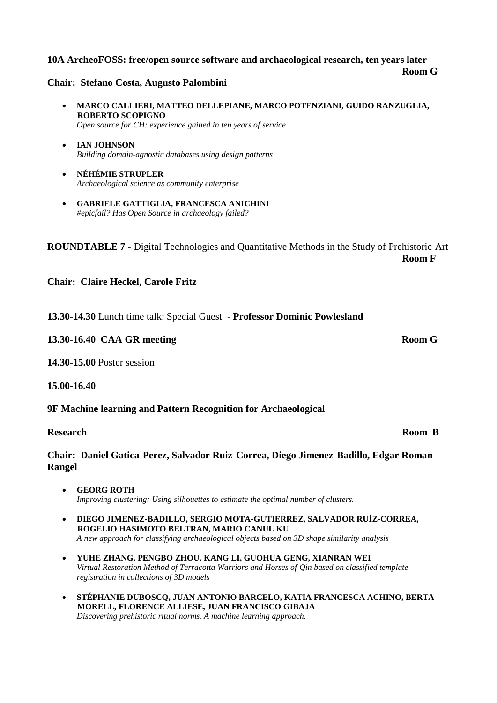#### **10A ArcheoFOSS: free/open source software and archaeological research, ten years later**

#### **Chair: Stefano Costa, Augusto Palombini**

- **MARCO CALLIERI, MATTEO DELLEPIANE, MARCO POTENZIANI, GUIDO RANZUGLIA, ROBERTO SCOPIGNO**  *Open source for CH: experience gained in ten years of service*
- **IAN JOHNSON**  *Building domain-agnostic databases using design patterns*
- **NÉHÉMIE STRUPLER** *Archaeological science as community enterprise*
- **GABRIELE GATTIGLIA, FRANCESCA ANICHINI** *#epicfail? Has Open Source in archaeology failed?*

**ROUNDTABLE 7 -** Digital Technologies and Quantitative Methods in the Study of Prehistoric Art **Room F**

**Chair: Claire Heckel, Carole Fritz**

| 13.30-14.30 Lunch time talk: Special Guest - Professor Dominic Powlesland |  |
|---------------------------------------------------------------------------|--|
|---------------------------------------------------------------------------|--|

#### **13.30-16.40 CAA GR meeting Room G**

**14.30-15.00** Poster session

**15.00-16.40** 

#### **9F Machine learning and Pattern Recognition for Archaeological**

#### **Research Room B**

#### **Chair: Daniel Gatica-Perez, Salvador Ruiz-Correa, Diego Jimenez-Badillo, Edgar Roman-Rangel**

- **GEORG ROTH** *Improving clustering: Using silhouettes to estimate the optimal number of clusters.*
- **DIEGO JIMENEZ-BADILLO, SERGIO MOTA-GUTIERREZ, SALVADOR RUÍZ-CORREA, ROGELIO HASIMOTO BELTRAN, MARIO CANUL KU** *A new approach for classifying archaeological objects based on 3D shape similarity analysis*
- **YUHE ZHANG, PENGBO ZHOU, KANG LI, GUOHUA GENG, XIANRAN WEI** *Virtual Restoration Method of Terracotta Warriors and Horses of Qin based on classified template registration in collections of 3D models*
- **STÉPHANIE DUBOSCQ, JUAN ANTONIO BARCELO, KATIA FRANCESCA ACHINO, BERTA MORELL, FLORENCE ALLIESE, JUAN FRANCISCO GIBAJA** *Discovering prehistoric ritual norms. A machine learning approach.*

**Room G**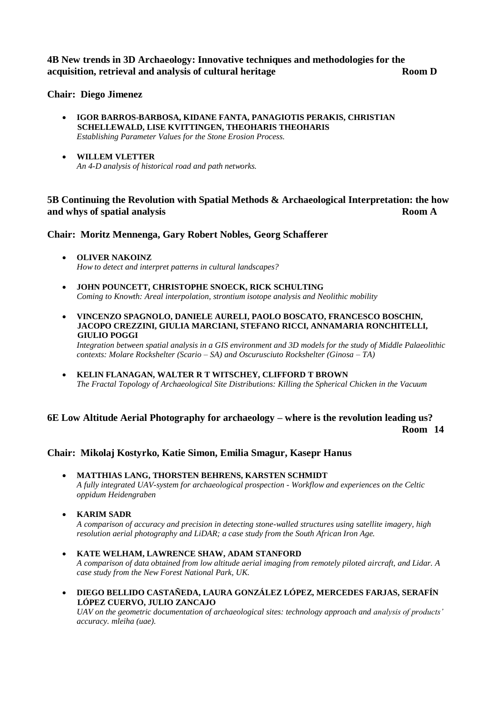**4B New trends in 3D Archaeology: Innovative techniques and methodologies for the acquisition, retrieval and analysis of cultural heritage <b>Room D Room D** 

**Chair: Diego Jimenez**

- **IGOR BARROS-BARBOSA, KIDANE FANTA, PANAGIOTIS PERAKIS, CHRISTIAN SCHELLEWALD, LISE KVITTINGEN, THEOHARIS THEOHARIS** *Establishing Parameter Values for the Stone Erosion Process.*
- **WILLEM VLETTER** *An 4-D analysis of historical road and path networks.*

### **5B Continuing the Revolution with Spatial Methods & Archaeological Interpretation: the how and whys of spatial analysis Room A**

#### **Chair: Moritz Mennenga, Gary Robert Nobles, Georg Schafferer**

- **OLIVER NAKOINZ** *How to detect and interpret patterns in cultural landscapes?*
- **JOHN POUNCETT, CHRISTOPHE SNOECK, RICK SCHULTING** *Coming to Knowth: Areal interpolation, strontium isotope analysis and Neolithic mobility*
- **VINCENZO SPAGNOLO, DANIELE AURELI, PAOLO BOSCATO, FRANCESCO BOSCHIN, JACOPO CREZZINI, GIULIA MARCIANI, STEFANO RICCI, ANNAMARIA RONCHITELLI, GIULIO POGGI**

*Integration between spatial analysis in a GIS environment and 3D models for the study of Middle Palaeolithic contexts: Molare Rockshelter (Scario – SA) and Oscurusciuto Rockshelter (Ginosa – TA)*

 **KELIN FLANAGAN, WALTER R T WITSCHEY, CLIFFORD T BROWN** *The Fractal Topology of Archaeological Site Distributions: Killing the Spherical Chicken in the Vacuum*

# **6E Low Altitude Aerial Photography for archaeology – where is the revolution leading us?**

**Room 14**

#### **Chair: Mikolaj Kostyrko, Katie Simon, Emilia Smagur, Kasepr Hanus**

- **MATTHIAS LANG, THORSTEN BEHRENS, KARSTEN SCHMIDT**  *A fully integrated UAV-system for archaeological prospection - Workflow and experiences on the Celtic oppidum Heidengraben*
- **KARIM SADR**

*A comparison of accuracy and precision in detecting stone-walled structures using satellite imagery, high resolution aerial photography and LiDAR; a case study from the South African Iron Age.*

- **KATE WELHAM, LAWRENCE SHAW, ADAM STANFORD** *A comparison of data obtained from low altitude aerial imaging from remotely piloted aircraft, and Lidar. A case study from the New Forest National Park, UK.*
- **DIEGO BELLIDO CASTAÑEDA, LAURA GONZÁLEZ LÓPEZ, MERCEDES FARJAS, SERAFÍN LÓPEZ CUERVO, JULIO ZANCAJO**

*UAV on the geometric documentation of archaeological sites: technology approach and analysis of products' accuracy. mleiha (uae).*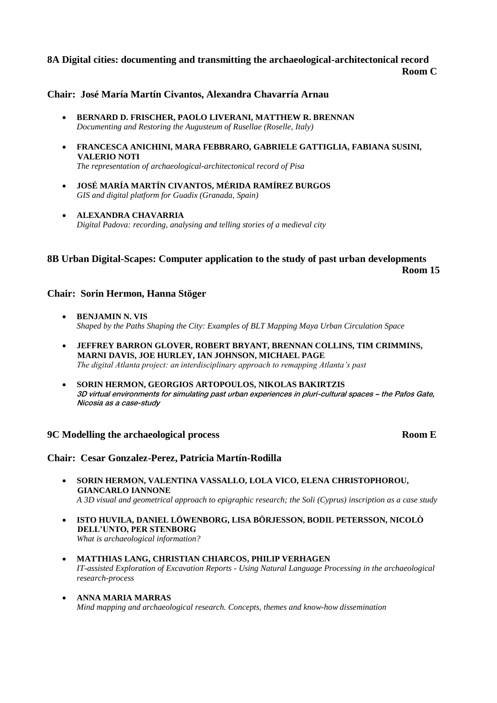### **8A Digital cities: documenting and transmitting the archaeological-architectonical record Room C**

#### **Chair: José María Martín Civantos, Alexandra Chavarría Arnau**

- **BERNARD D. FRISCHER, PAOLO LIVERANI, MATTHEW R. BRENNAN** *Documenting and Restoring the Augusteum of Rusellae (Roselle, Italy)*
- **FRANCESCA ANICHINI, MARA FEBBRARO, GABRIELE GATTIGLIA, FABIANA SUSINI, VALERIO NOTI** *The representation of archaeological-architectonical record of Pisa*
- **JOSÉ MARÍA MARTÍN CIVANTOS, MÉRIDA RAMÍREZ BURGOS** *GIS and digital platform for Guadix (Granada, Spain)*
- **ALEXANDRA CHAVARRIA** *Digital Padova: recording, analysing and telling stories of a medieval city*

### **8B Urban Digital-Scapes: Computer application to the study of past urban developments Room 15**

#### **Chair: Sorin Hermon, Hanna Stöger**

- **BENJAMIN N. VIS** *Shaped by the Paths Shaping the City: Examples of BLT Mapping Maya Urban Circulation Space*
- **JEFFREY BARRON GLOVER, ROBERT BRYANT, BRENNAN COLLINS, TIM CRIMMINS, MARNI DAVIS, JOE HURLEY, IAN JOHNSON, MICHAEL PAGE** *The digital Atlanta project: an interdisciplinary approach to remapping Atlanta's past*
- **SORIN HERMON, GEORGIOS ARTOPOULOS, NIKOLAS BAKIRTZIS**  3D virtual environments for simulating past urban experiences in pluri-cultural spaces – the Pafos Gate, Nicosia as a case-study

#### **9C Modelling the archaeological process Room E**

#### **Chair: Cesar Gonzalez-Perez, Patricia Martín-Rodilla**

- **SORIN HERMON, VALENTINA VASSALLO, LOLA VICO, ELENA CHRISTOPHOROU, GIANCARLO IANNONE** *A 3D visual and geometrical approach to epigraphic research; the Soli (Cyprus) inscription as a case study*
- **ISTO HUVILA, DANIEL LÖWENBORG, LISA BÖRJESSON, BODIL PETERSSON, NICOLÒ DELL'UNTO, PER STENBORG** *What is archaeological information?*
- **MATTHIAS LANG, CHRISTIAN CHIARCOS, PHILIP VERHAGEN** *IT-assisted Exploration of Excavation Reports - Using Natural Language Processing in the archaeological research-process*
- **ANNA MARIA MARRAS**  *Mind mapping and archaeological research. Concepts, themes and know-how dissemination*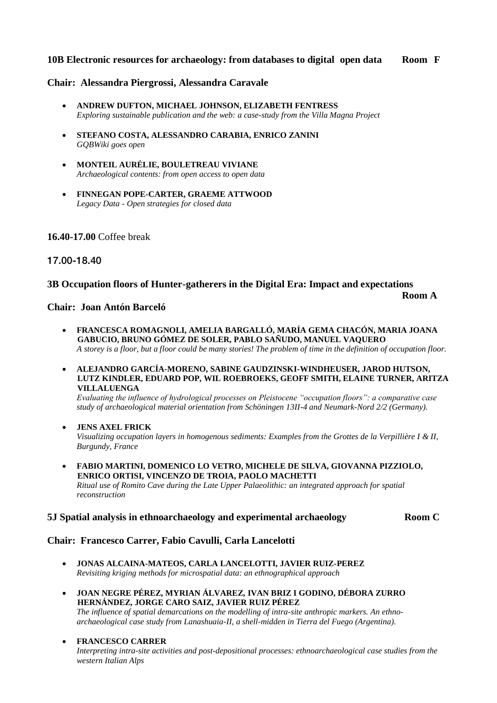#### **10B Electronic resources for archaeology: from databases to digital open data Room F**

#### **Chair: Alessandra Piergrossi, Alessandra Caravale**

- **ANDREW DUFTON, MICHAEL JOHNSON, ELIZABETH FENTRESS** *Exploring sustainable publication and the web: a case-study from the Villa Magna Project*
- **STEFANO COSTA, ALESSANDRO CARABIA, ENRICO ZANINI** *GQBWiki goes open*
- **MONTEIL AURÉLIE, BOULETREAU VIVIANE** *Archaeological contents: from open access to open data*
- **FINNEGAN POPE-CARTER, GRAEME ATTWOOD** *Legacy Data - Open strategies for closed data*

#### **16.40-17.00** Coffee break

#### 17.00-18.40

#### **3B Occupation floors of Hunter-gatherers in the Digital Era: Impact and expectations**

**Room A**

#### **Chair: Joan Antón Barceló**

- **FRANCESCA ROMAGNOLI, AMELIA BARGALLÓ, MARÍA GEMA CHACÓN, MARIA JOANA GABUCIO, BRUNO GÓMEZ DE SOLER, PABLO SAÑUDO, MANUEL VAQUERO** *A storey is a floor, but a floor could be many stories! The problem of time in the definition of occupation floor.*
- **ALEJANDRO GARCÍA-MORENO, SABINE GAUDZINSKI-WINDHEUSER, JAROD HUTSON, LUTZ KINDLER, EDUARD POP, WIL ROEBROEKS, GEOFF SMITH, ELAINE TURNER, ARITZA VILLALUENGA**

*Evaluating the influence of hydrological processes on Pleistocene "occupation floors": a comparative case study of archaeological material orientation from Schöningen 13II-4 and Neumark-Nord 2/2 (Germany).*

- **JENS AXEL FRICK** *Visualizing occupation layers in homogenous sediments: Examples from the Grottes de la Verpillière I & II, Burgundy, France*
- **FABIO MARTINI, DOMENICO LO VETRO, MICHELE DE SILVA, GIOVANNA PIZZIOLO, ENRICO ORTISI, VINCENZO DE TROIA, PAOLO MACHETTI** *Ritual use of Romito Cave during the Late Upper Palaeolithic: an integrated approach for spatial reconstruction*

#### **5J Spatial analysis in ethnoarchaeology and experimental archaeology Room C**

#### **Chair: Francesco Carrer, Fabio Cavulli, Carla Lancelotti**

- **JONAS ALCAINA-MATEOS, CARLA LANCELOTTI, JAVIER RUIZ-PEREZ** *Revisiting kriging methods for microspatial data: an ethnographical approach*
- **JOAN NEGRE PÉREZ, MYRIAN ÁLVAREZ, IVAN BRIZ I GODINO, DÉBORA ZURRO HERNÁNDEZ, JORGE CARO SAIZ, JAVIER RUIZ PÉREZ** *The influence of spatial demarcations on the modelling of intra-site anthropic markers. An ethno*
	- *archaeological case study from Lanashuaia-II, a shell-midden in Tierra del Fuego (Argentina).*
- **FRANCESCO CARRER** *Interpreting intra-site activities and post-depositional processes: ethnoarchaeological case studies from the western Italian Alps*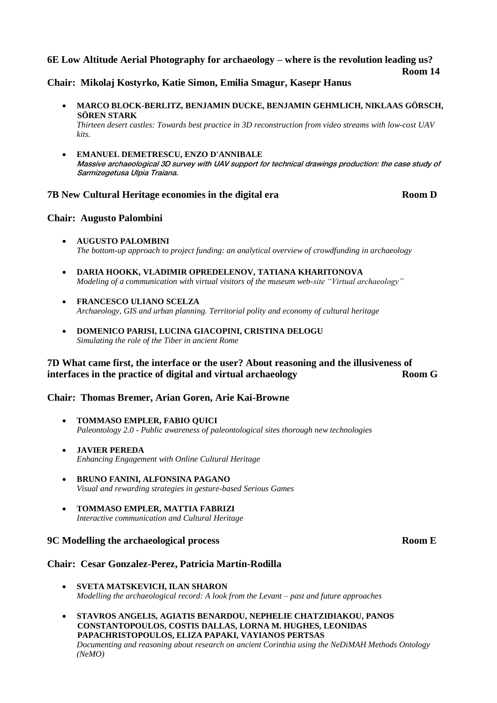#### **6E Low Altitude Aerial Photography for archaeology – where is the revolution leading us?**

**Room 14**

**Chair: Mikolaj Kostyrko, Katie Simon, Emilia Smagur, Kasepr Hanus**

- **MARCO BLOCK-BERLITZ, BENJAMIN DUCKE, BENJAMIN GEHMLICH, NIKLAAS GÖRSCH, SÖREN STARK** *Thirteen desert castles: Towards best practice in 3D reconstruction from video streams with low-cost UAV*
- **EMANUEL DEMETRESCU, ENZO D'ANNIBALE** Massive archaeological 3D survey with UAV support for technical drawings production: the case study of Sarmizegetusa Ulpia Traiana.

#### **7B New Cultural Heritage economies in the digital era Room D**

#### **Chair: Augusto Palombini**

*kits.*

- **AUGUSTO PALOMBINI** *The bottom-up approach to project funding: an analytical overview of crowdfunding in archaeology*
- **DARIA HOOKK, VLADIMIR OPREDELENOV, TATIANA KHARITONOVA** *Modeling of a communication with virtual visitors of the museum web-site "Virtual archaeology"*
- **FRANCESCO ULIANO SCELZA** *Archaeology, GIS and urban planning. Territorial polity and economy of cultural heritage*
- **DOMENICO PARISI, LUCINA GIACOPINI, CRISTINA DELOGU**  *Simulating the role of the Tiber in ancient Rome*

#### **7D What came first, the interface or the user? About reasoning and the illusiveness of interfaces in the practice of digital and virtual archaeology Room G**

#### **Chair: Thomas Bremer, Arian Goren, Arie Kai-Browne**

- **TOMMASO EMPLER, FABIO QUICI**  *Paleontology 2.0 - Public awareness of paleontological sites thorough new technologies*
- **JAVIER PEREDA** *Enhancing Engagement with Online Cultural Heritage*
- **BRUNO FANINI, ALFONSINA PAGANO** *Visual and rewarding strategies in gesture-based Serious Games*
- **TOMMASO EMPLER, MATTIA FABRIZI** *Interactive communication and Cultural Heritage*

#### **9C Modelling the archaeological process Room E**

#### **Chair: Cesar Gonzalez-Perez, Patricia Martín-Rodilla**

- **SVETA MATSKEVICH, ILAN SHARON** *Modelling the archaeological record: A look from the Levant – past and future approaches*
- **STAVROS ANGELIS, AGIATIS BENARDOU, NEPHELIE CHATZIDIAKOU, PANOS CONSTANTOPOULOS, COSTIS DALLAS, LORNA M. HUGHES, LEONIDAS PAPACHRISTOPOULOS, ELIZA PAPAKI, VAYIANOS PERTSAS** *Documenting and reasoning about research on ancient Corinthia using the NeDiMAH Methods Ontology (NeMO)*